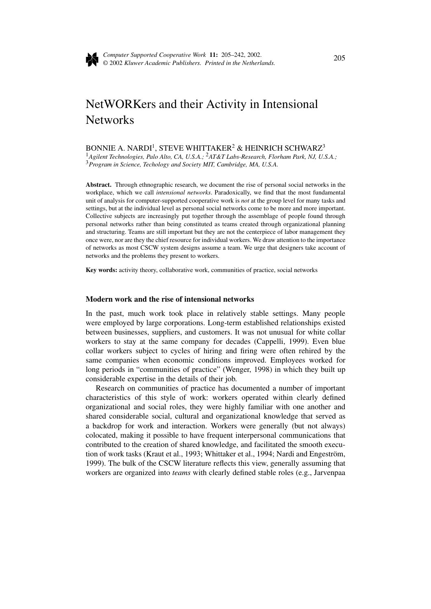

*Computer Supported Cooperative Work* **11:** 205–242, 2002. © 2002 *Kluwer Academic Publishers. Printed in the Netherlands.* <sup>205</sup>

# NetWORKers and their Activity in Intensional **Networks**

# BONNIE A. NARDI<sup>1</sup>, STEVE WHITTAKER<sup>2</sup> & HEINRICH SCHWARZ<sup>3</sup>

<sup>1</sup>*Agilent Technologies, Palo Alto, CA, U.S.A.;* <sup>2</sup>*AT&T Labs-Research, Florham Park, NJ, U.S.A.;* <sup>3</sup>*Program in Science, Techology and Society MIT, Cambridge, MA, U.S.A.*

**Abstract.** Through ethnographic research, we document the rise of personal social networks in the workplace, which we call *intensional networks*. Paradoxically, we find that the most fundamental unit of analysis for computer-supported cooperative work is *not* at the group level for many tasks and settings, but at the individual level as personal social networks come to be more and more important. Collective subjects are increasingly put together through the assemblage of people found through personal networks rather than being constituted as teams created through organizational planning and structuring. Teams are still important but they are not the centerpiece of labor management they once were, nor are they the chief resource for individual workers. We draw attention to the importance of networks as most CSCW system designs assume a team. We urge that designers take account of networks and the problems they present to workers.

**Key words:** activity theory, collaborative work, communities of practice, social networks

# **Modern work and the rise of intensional networks**

In the past, much work took place in relatively stable settings. Many people were employed by large corporations. Long-term established relationships existed between businesses, suppliers, and customers. It was not unusual for white collar workers to stay at the same company for decades (Cappelli, 1999). Even blue collar workers subject to cycles of hiring and firing were often rehired by the same companies when economic conditions improved. Employees worked for long periods in "communities of practice" (Wenger, 1998) in which they built up considerable expertise in the details of their job.

Research on communities of practice has documented a number of important characteristics of this style of work: workers operated within clearly defined organizational and social roles, they were highly familiar with one another and shared considerable social, cultural and organizational knowledge that served as a backdrop for work and interaction. Workers were generally (but not always) colocated, making it possible to have frequent interpersonal communications that contributed to the creation of shared knowledge, and facilitated the smooth execution of work tasks (Kraut et al., 1993; Whittaker et al., 1994; Nardi and Engeström, 1999). The bulk of the CSCW literature reflects this view, generally assuming that workers are organized into *teams* with clearly defined stable roles (e.g., Jarvenpaa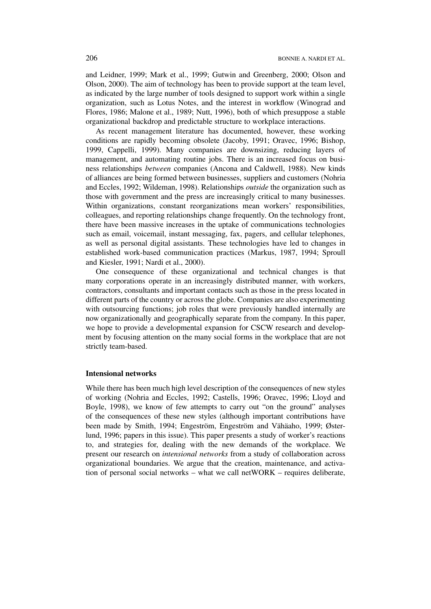and Leidner, 1999; Mark et al., 1999; Gutwin and Greenberg, 2000; Olson and Olson, 2000). The aim of technology has been to provide support at the team level, as indicated by the large number of tools designed to support work within a single organization, such as Lotus Notes, and the interest in workflow (Winograd and Flores, 1986; Malone et al., 1989; Nutt, 1996), both of which presuppose a stable organizational backdrop and predictable structure to workplace interactions.

As recent management literature has documented, however, these working conditions are rapidly becoming obsolete (Jacoby, 1991; Oravec, 1996; Bishop, 1999, Cappelli, 1999). Many companies are downsizing, reducing layers of management, and automating routine jobs. There is an increased focus on business relationships *between* companies (Ancona and Caldwell, 1988). New kinds of alliances are being formed between businesses, suppliers and customers (Nohria and Eccles, 1992; Wildeman, 1998). Relationships *outside* the organization such as those with government and the press are increasingly critical to many businesses. Within organizations, constant reorganizations mean workers' responsibilities, colleagues, and reporting relationships change frequently. On the technology front, there have been massive increases in the uptake of communications technologies such as email, voicemail, instant messaging, fax, pagers, and cellular telephones, as well as personal digital assistants. These technologies have led to changes in established work-based communication practices (Markus, 1987, 1994; Sproull and Kiesler, 1991; Nardi et al., 2000).

One consequence of these organizational and technical changes is that many corporations operate in an increasingly distributed manner, with workers, contractors, consultants and important contacts such as those in the press located in different parts of the country or across the globe. Companies are also experimenting with outsourcing functions; job roles that were previously handled internally are now organizationally and geographically separate from the company. In this paper, we hope to provide a developmental expansion for CSCW research and development by focusing attention on the many social forms in the workplace that are not strictly team-based.

# **Intensional networks**

While there has been much high level description of the consequences of new styles of working (Nohria and Eccles, 1992; Castells, 1996; Oravec, 1996; Lloyd and Boyle, 1998), we know of few attempts to carry out "on the ground" analyses of the consequences of these new styles (although important contributions have been made by Smith, 1994; Engeström, Engeström and Vähäaho, 1999; Østerlund, 1996; papers in this issue). This paper presents a study of worker's reactions to, and strategies for, dealing with the new demands of the workplace. We present our research on *intensional networks* from a study of collaboration across organizational boundaries. We argue that the creation, maintenance, and activation of personal social networks – what we call netWORK – requires deliberate,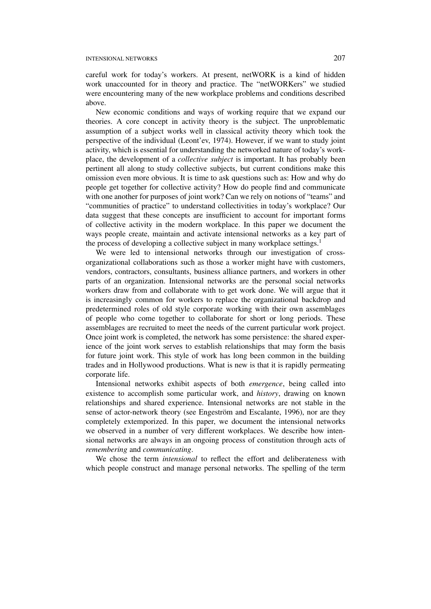careful work for today's workers. At present, netWORK is a kind of hidden work unaccounted for in theory and practice. The "netWORKers" we studied were encountering many of the new workplace problems and conditions described above.

New economic conditions and ways of working require that we expand our theories. A core concept in activity theory is the subject. The unproblematic assumption of a subject works well in classical activity theory which took the perspective of the individual (Leont'ev, 1974). However, if we want to study joint activity, which is essential for understanding the networked nature of today's workplace, the development of a *collective subject* is important. It has probably been pertinent all along to study collective subjects, but current conditions make this omission even more obvious. It is time to ask questions such as: How and why do people get together for collective activity? How do people find and communicate with one another for purposes of joint work? Can we rely on notions of "teams" and "communities of practice" to understand collectivities in today's workplace? Our data suggest that these concepts are insufficient to account for important forms of collective activity in the modern workplace. In this paper we document the ways people create, maintain and activate intensional networks as a key part of the process of developing a collective subject in many workplace settings.<sup>1</sup>

We were led to intensional networks through our investigation of crossorganizational collaborations such as those a worker might have with customers, vendors, contractors, consultants, business alliance partners, and workers in other parts of an organization. Intensional networks are the personal social networks workers draw from and collaborate with to get work done. We will argue that it is increasingly common for workers to replace the organizational backdrop and predetermined roles of old style corporate working with their own assemblages of people who come together to collaborate for short or long periods. These assemblages are recruited to meet the needs of the current particular work project. Once joint work is completed, the network has some persistence: the shared experience of the joint work serves to establish relationships that may form the basis for future joint work. This style of work has long been common in the building trades and in Hollywood productions. What is new is that it is rapidly permeating corporate life.

Intensional networks exhibit aspects of both *emergence*, being called into existence to accomplish some particular work, and *history*, drawing on known relationships and shared experience. Intensional networks are not stable in the sense of actor-network theory (see Engeström and Escalante, 1996), nor are they completely extemporized. In this paper, we document the intensional networks we observed in a number of very different workplaces. We describe how intensional networks are always in an ongoing process of constitution through acts of *remembering* and *communicating*.

We chose the term *intensional* to reflect the effort and deliberateness with which people construct and manage personal networks. The spelling of the term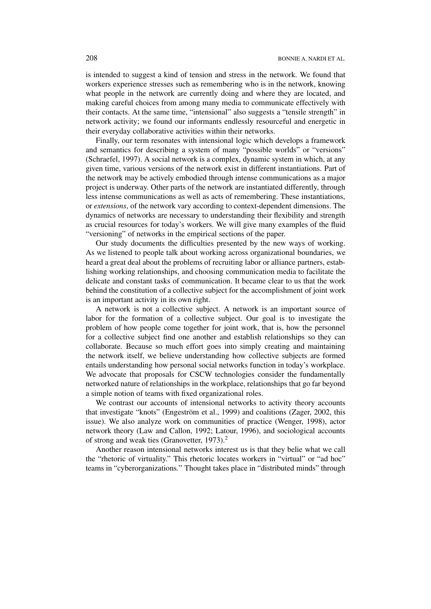is intended to suggest a kind of tension and stress in the network. We found that workers experience stresses such as remembering who is in the network, knowing what people in the network are currently doing and where they are located, and making careful choices from among many media to communicate effectively with their contacts. At the same time, "intensional" also suggests a "tensile strength" in network activity; we found our informants endlessly resourceful and energetic in their everyday collaborative activities within their networks.

Finally, our term resonates with intensional logic which develops a framework and semantics for describing a system of many "possible worlds" or "versions" (Schraefel, 1997). A social network is a complex, dynamic system in which, at any given time, various versions of the network exist in different instantiations. Part of the network may be actively embodied through intense communications as a major project is underway. Other parts of the network are instantiated differently, through less intense communications as well as acts of remembering. These instantiations, or *extensions*, of the network vary according to context-dependent dimensions. The dynamics of networks are necessary to understanding their flexibility and strength as crucial resources for today's workers. We will give many examples of the fluid "versioning" of networks in the empirical sections of the paper.

Our study documents the difficulties presented by the new ways of working. As we listened to people talk about working across organizational boundaries, we heard a great deal about the problems of recruiting labor or alliance partners, establishing working relationships, and choosing communication media to facilitate the delicate and constant tasks of communication. It became clear to us that the work behind the constitution of a collective subject for the accomplishment of joint work is an important activity in its own right.

A network is not a collective subject. A network is an important source of labor for the formation of a collective subject. Our goal is to investigate the problem of how people come together for joint work, that is, how the personnel for a collective subject find one another and establish relationships so they can collaborate. Because so much effort goes into simply creating and maintaining the network itself, we believe understanding how collective subjects are formed entails understanding how personal social networks function in today's workplace. We advocate that proposals for CSCW technologies consider the fundamentally networked nature of relationships in the workplace, relationships that go far beyond a simple notion of teams with fixed organizational roles.

We contrast our accounts of intensional networks to activity theory accounts that investigate "knots" (Engeström et al., 1999) and coalitions (Zager, 2002, this issue). We also analyze work on communities of practice (Wenger, 1998), actor network theory (Law and Callon, 1992; Latour, 1996), and sociological accounts of strong and weak ties (Granovetter, 1973).<sup>2</sup>

Another reason intensional networks interest us is that they belie what we call the "rhetoric of virtuality." This rhetoric locates workers in "virtual" or "ad hoc" teams in "cyberorganizations*.*" Thought takes place in "distributed minds" through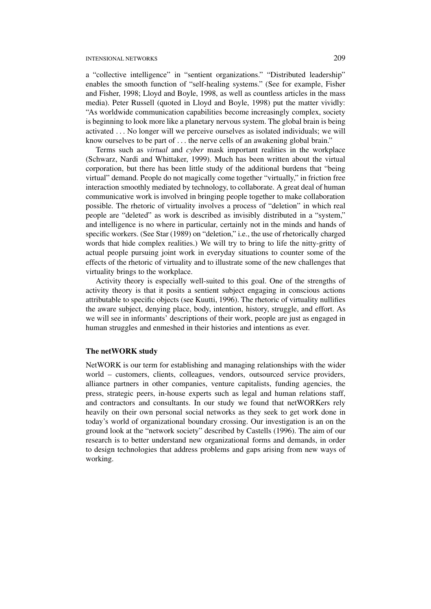a "collective intelligence" in "sentient organizations." "Distributed leadership" enables the smooth function of "self-healing systems." (See for example, Fisher and Fisher, 1998; Lloyd and Boyle, 1998, as well as countless articles in the mass media). Peter Russell (quoted in Lloyd and Boyle, 1998) put the matter vividly: "As worldwide communication capabilities become increasingly complex, society is beginning to look more like a planetary nervous system. The global brain is being activated *...* No longer will we perceive ourselves as isolated individuals; we will know ourselves to be part of *...* the nerve cells of an awakening global brain."

Terms such as *virtual* and *cyber* mask important realities in the workplace (Schwarz, Nardi and Whittaker, 1999). Much has been written about the virtual corporation, but there has been little study of the additional burdens that "being virtual" demand. People do not magically come together "virtually," in friction free interaction smoothly mediated by technology, to collaborate. A great deal of human communicative work is involved in bringing people together to make collaboration possible. The rhetoric of virtuality involves a process of "deletion" in which real people are "deleted" as work is described as invisibly distributed in a "system," and intelligence is no where in particular, certainly not in the minds and hands of specific workers. (See Star (1989) on "deletion," i.e., the use of rhetorically charged words that hide complex realities.) We will try to bring to life the nitty-gritty of actual people pursuing joint work in everyday situations to counter some of the effects of the rhetoric of virtuality and to illustrate some of the new challenges that virtuality brings to the workplace.

Activity theory is especially well-suited to this goal. One of the strengths of activity theory is that it posits a sentient subject engaging in conscious actions attributable to specific objects (see Kuutti, 1996). The rhetoric of virtuality nullifies the aware subject, denying place, body, intention, history, struggle, and effort. As we will see in informants' descriptions of their work, people are just as engaged in human struggles and enmeshed in their histories and intentions as ever.

# **The netWORK study**

NetWORK is our term for establishing and managing relationships with the wider world – customers, clients, colleagues, vendors, outsourced service providers, alliance partners in other companies, venture capitalists, funding agencies, the press, strategic peers, in-house experts such as legal and human relations staff, and contractors and consultants. In our study we found that netWORKers rely heavily on their own personal social networks as they seek to get work done in today's world of organizational boundary crossing. Our investigation is an on the ground look at the "network society" described by Castells (1996). The aim of our research is to better understand new organizational forms and demands, in order to design technologies that address problems and gaps arising from new ways of working.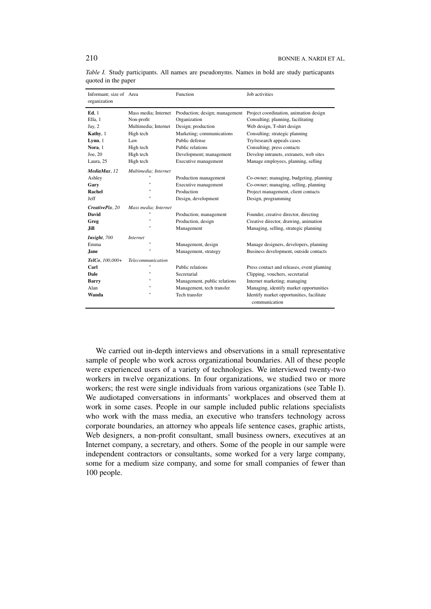| Informant: size of Area<br>organization |                          | Function                       | Job activities                             |
|-----------------------------------------|--------------------------|--------------------------------|--------------------------------------------|
| <b>Ed.</b> 1                            | Mass media: Internet     | Production; design; management | Project coordination, animation design     |
| Ella, 1                                 | Non-profit               | Organization                   | Consulting; planning, facilitating         |
| Jay, 2                                  | Multimedia; Internet     | Design; production             | Web design, T-shirt design                 |
| Kathy, 1                                | High tech                | Marketing; communications      | Consulting; strategic planning             |
| Lynn, $1$                               | Law                      | Public defense                 | Try/research appeals cases                 |
| Nora. 1                                 | High tech                | Public relations               | Consulting; press contacts                 |
| Joe, 20                                 | High tech                | Development; management        | Develop intranets, extranets, web sites    |
| Laura, 25                               | High tech                | Executive management           | Manage employees, planning, selling        |
| MediaMax, 12                            | Multimedia: Internet     |                                |                                            |
| Ashley                                  | $\blacksquare$           | Production management          | Co-owner; managing, budgeting, planning    |
| Gary                                    |                          | Executive management           | Co-owner; managing, selling, planning      |
| Rachel                                  | Ħ                        | Production                     | Project management, client contacts        |
| Jeff                                    | $\mathbf{a}$             | Design, development            | Design, programming                        |
| CreativePix, 20                         | Mass media: Internet     |                                |                                            |
| David                                   |                          | Production; management         | Founder, creative director, directing      |
| Greg                                    | $\blacksquare$           | Production, design             | Creative director, drawing, animation      |
| Jill                                    | Ħ                        | Management                     | Managing, selling, strategic planning      |
| Insight, 700                            | <b>Internet</b>          |                                |                                            |
| Emma                                    | $\blacksquare$           | Management, design             | Manage designers, developers, planning     |
| <b>Jane</b>                             | $\blacksquare$           | Management, strategy           | Business development, outside contacts     |
| TelCo, 100,000+                         | <b>Telecommunication</b> |                                |                                            |
| Carl                                    | $\ddot{\phantom{a}}$     | Public relations               | Press contact and releases, event planning |
| Dale                                    | $\mathbf{u}$             | Secretarial                    | Clipping, vouchers, secretarial            |
| <b>Barry</b>                            | $\mathbf{u}$             | Management, public relations   | Internet marketing; managing               |
| Alan                                    |                          | Management, tech transfer      | Managing, identify market opportunities    |
| Wanda                                   | $\mathbf{H}$             | Tech transfer                  | Identify market opportunities, facilitate  |
|                                         |                          |                                | communication                              |

*Table I.* Study participants. All names are pseudonyms. Names in bold are study particapants quoted in the paper

We carried out in-depth interviews and observations in a small representative sample of people who work across organizational boundaries. All of these people were experienced users of a variety of technologies. We interviewed twenty-two workers in twelve organizations. In four organizations, we studied two or more workers; the rest were single individuals from various organizations (see Table I). We audiotaped conversations in informants' workplaces and observed them at work in some cases. People in our sample included public relations specialists who work with the mass media, an executive who transfers technology across corporate boundaries, an attorney who appeals life sentence cases, graphic artists, Web designers, a non-profit consultant, small business owners, executives at an Internet company, a secretary, and others. Some of the people in our sample were independent contractors or consultants, some worked for a very large company, some for a medium size company, and some for small companies of fewer than 100 people.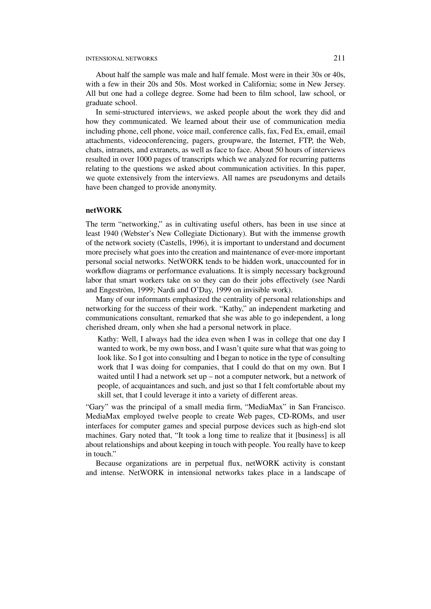About half the sample was male and half female. Most were in their 30s or 40s, with a few in their 20s and 50s. Most worked in California; some in New Jersey. All but one had a college degree. Some had been to film school, law school, or graduate school.

In semi-structured interviews, we asked people about the work they did and how they communicated. We learned about their use of communication media including phone, cell phone, voice mail, conference calls, fax, Fed Ex, email, email attachments, videoconferencing, pagers, groupware, the Internet, FTP, the Web, chats, intranets, and extranets, as well as face to face. About 50 hours of interviews resulted in over 1000 pages of transcripts which we analyzed for recurring patterns relating to the questions we asked about communication activities. In this paper, we quote extensively from the interviews. All names are pseudonyms and details have been changed to provide anonymity.

# **netWORK**

The term "networking," as in cultivating useful others, has been in use since at least 1940 (Webster's New Collegiate Dictionary). But with the immense growth of the network society (Castells, 1996), it is important to understand and document more precisely what goes into the creation and maintenance of ever-more important personal social networks. NetWORK tends to be hidden work, unaccounted for in workflow diagrams or performance evaluations. It is simply necessary background labor that smart workers take on so they can do their jobs effectively (see Nardi and Engeström, 1999; Nardi and O'Day, 1999 on invisible work).

Many of our informants emphasized the centrality of personal relationships and networking for the success of their work. "Kathy," an independent marketing and communications consultant, remarked that she was able to go independent, a long cherished dream, only when she had a personal network in place.

Kathy: Well, I always had the idea even when I was in college that one day I wanted to work, be my own boss, and I wasn't quite sure what that was going to look like. So I got into consulting and I began to notice in the type of consulting work that I was doing for companies, that I could do that on my own. But I waited until I had a network set up – not a computer network, but a network of people, of acquaintances and such, and just so that I felt comfortable about my skill set, that I could leverage it into a variety of different areas.

"Gary" was the principal of a small media firm, "MediaMax" in San Francisco. MediaMax employed twelve people to create Web pages, CD-ROMs, and user interfaces for computer games and special purpose devices such as high-end slot machines. Gary noted that, "It took a long time to realize that it [business] is all about relationships and about keeping in touch with people. You really have to keep in touch."

Because organizations are in perpetual flux, netWORK activity is constant and intense. NetWORK in intensional networks takes place in a landscape of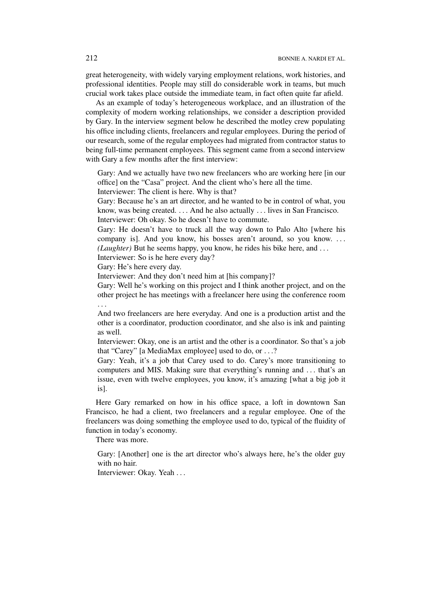great heterogeneity, with widely varying employment relations, work histories, and professional identities. People may still do considerable work in teams, but much crucial work takes place outside the immediate team, in fact often quite far afield.

As an example of today's heterogeneous workplace, and an illustration of the complexity of modern working relationships, we consider a description provided by Gary. In the interview segment below he described the motley crew populating his office including clients, freelancers and regular employees. During the period of our research, some of the regular employees had migrated from contractor status to being full-time permanent employees. This segment came from a second interview with Gary a few months after the first interview:

Gary: And we actually have two new freelancers who are working here [in our office] on the "Casa" project. And the client who's here all the time.

Interviewer: The client is here. Why is that?

Gary: Because he's an art director, and he wanted to be in control of what, you know, was being created. *...* And he also actually *...* lives in San Francisco. Interviewer: Oh okay. So he doesn't have to commute.

Gary: He doesn't have to truck all the way down to Palo Alto [where his company is]. And you know, his bosses aren't around, so you know. *... (Laughter)* But he seems happy, you know, he rides his bike here, and *...*

Interviewer: So is he here every day?

Gary: He's here every day.

Interviewer: And they don't need him at [his company]?

Gary: Well he's working on this project and I think another project, and on the other project he has meetings with a freelancer here using the conference room *...*

And two freelancers are here everyday. And one is a production artist and the other is a coordinator, production coordinator, and she also is ink and painting as well.

Interviewer: Okay, one is an artist and the other is a coordinator. So that's a job that "Carey" [a MediaMax employee] used to do, or *...*?

Gary: Yeah, it's a job that Carey used to do. Carey's more transitioning to computers and MIS. Making sure that everything's running and *...* that's an issue, even with twelve employees, you know, it's amazing [what a big job it is].

Here Gary remarked on how in his office space, a loft in downtown San Francisco, he had a client, two freelancers and a regular employee. One of the freelancers was doing something the employee used to do, typical of the fluidity of function in today's economy.

There was more.

Gary: [Another] one is the art director who's always here, he's the older guy with no hair.

Interviewer: Okay. Yeah *...*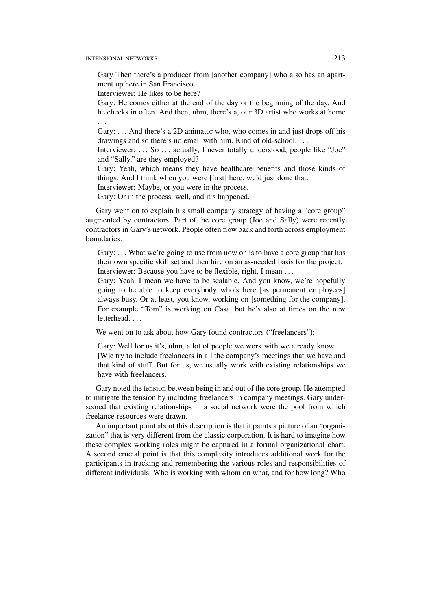Gary Then there's a producer from [another company] who also has an apartment up here in San Francisco.

Interviewer: He likes to be here?

Gary: He comes either at the end of the day or the beginning of the day. And he checks in often. And then, uhm, there's a, our 3D artist who works at home *...*

Gary: ... And there's a 2D animator who, who comes in and just drops off his drawings and so there's no email with him. Kind of old-school. *...*

Interviewer: *...* So *...* actually, I never totally understood, people like "Joe" and "Sally," are they employed?

Gary: Yeah, which means they have healthcare benefits and those kinds of things. And I think when you were [first] here, we'd just done that.

Interviewer: Maybe, or you were in the process.

Gary: Or in the process, well, and it's happened.

Gary went on to explain his small company strategy of having a "core group" augmented by contractors. Part of the core group (Joe and Sally) were recently contractors in Gary's network. People often flow back and forth across employment boundaries:

Gary: ... What we're going to use from now on is to have a core group that has their own specific skill set and then hire on an as-needed basis for the project. Interviewer: Because you have to be flexible, right, I mean *...*

Gary: Yeah. I mean we have to be scalable. And you know, we're hopefully going to be able to keep everybody who's here [as permanent employees] always busy. Or at least, you know, working on [something for the company]. For example "Tom" is working on Casa, but he's also at times on the new letterhead. *...*

We went on to ask about how Gary found contractors ("freelancers"):

Gary: Well for us it's, uhm, a lot of people we work with we already know *...* [W]e try to include freelancers in all the company's meetings that we have and that kind of stuff. But for us, we usually work with existing relationships we have with freelancers.

Gary noted the tension between being in and out of the core group. He attempted to mitigate the tension by including freelancers in company meetings. Gary underscored that existing relationships in a social network were the pool from which freelance resources were drawn.

An important point about this description is that it paints a picture of an "organization" that is very different from the classic corporation. It is hard to imagine how these complex working roles might be captured in a formal organizational chart. A second crucial point is that this complexity introduces additional work for the participants in tracking and remembering the various roles and responsibilities of different individuals. Who is working with whom on what, and for how long? Who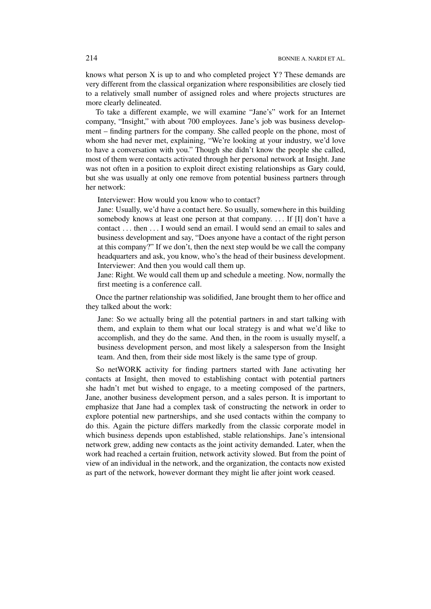knows what person X is up to and who completed project Y? These demands are very different from the classical organization where responsibilities are closely tied to a relatively small number of assigned roles and where projects structures are more clearly delineated.

To take a different example, we will examine "Jane's" work for an Internet company, "Insight," with about 700 employees. Jane's job was business development – finding partners for the company. She called people on the phone, most of whom she had never met, explaining, "We're looking at your industry, we'd love to have a conversation with you." Though she didn't know the people she called, most of them were contacts activated through her personal network at Insight. Jane was not often in a position to exploit direct existing relationships as Gary could, but she was usually at only one remove from potential business partners through her network:

Interviewer: How would you know who to contact?

Jane: Usually, we'd have a contact here. So usually, somewhere in this building somebody knows at least one person at that company. *...* If [I] don't have a contact *...* then *...* I would send an email. I would send an email to sales and business development and say, "Does anyone have a contact of the right person at this company?" If we don't, then the next step would be we call the company headquarters and ask, you know, who's the head of their business development. Interviewer: And then you would call them up.

Jane: Right. We would call them up and schedule a meeting. Now, normally the first meeting is a conference call.

Once the partner relationship was solidified, Jane brought them to her office and they talked about the work:

Jane: So we actually bring all the potential partners in and start talking with them, and explain to them what our local strategy is and what we'd like to accomplish, and they do the same. And then, in the room is usually myself, a business development person, and most likely a salesperson from the Insight team. And then, from their side most likely is the same type of group.

So netWORK activity for finding partners started with Jane activating her contacts at Insight, then moved to establishing contact with potential partners she hadn't met but wished to engage, to a meeting composed of the partners, Jane, another business development person, and a sales person. It is important to emphasize that Jane had a complex task of constructing the network in order to explore potential new partnerships, and she used contacts within the company to do this. Again the picture differs markedly from the classic corporate model in which business depends upon established, stable relationships. Jane's intensional network grew, adding new contacts as the joint activity demanded. Later, when the work had reached a certain fruition, network activity slowed. But from the point of view of an individual in the network, and the organization, the contacts now existed as part of the network, however dormant they might lie after joint work ceased.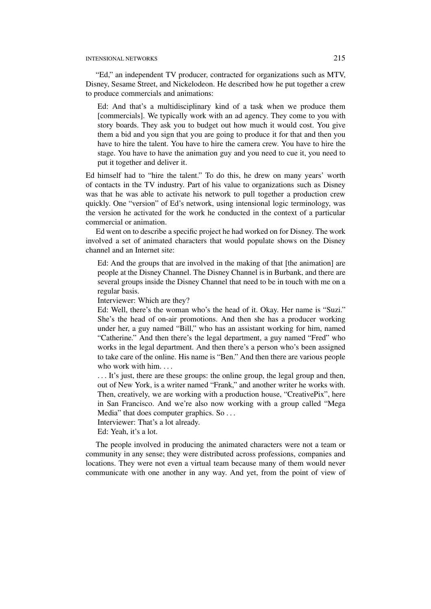"Ed," an independent TV producer, contracted for organizations such as MTV, Disney, Sesame Street, and Nickelodeon. He described how he put together a crew to produce commercials and animations:

Ed: And that's a multidisciplinary kind of a task when we produce them [commercials]. We typically work with an ad agency. They come to you with story boards. They ask you to budget out how much it would cost. You give them a bid and you sign that you are going to produce it for that and then you have to hire the talent. You have to hire the camera crew. You have to hire the stage. You have to have the animation guy and you need to cue it, you need to put it together and deliver it.

Ed himself had to "hire the talent." To do this, he drew on many years' worth of contacts in the TV industry. Part of his value to organizations such as Disney was that he was able to activate his network to pull together a production crew quickly. One "version" of Ed's network, using intensional logic terminology, was the version he activated for the work he conducted in the context of a particular commercial or animation.

Ed went on to describe a specific project he had worked on for Disney. The work involved a set of animated characters that would populate shows on the Disney channel and an Internet site:

Ed: And the groups that are involved in the making of that [the animation] are people at the Disney Channel. The Disney Channel is in Burbank, and there are several groups inside the Disney Channel that need to be in touch with me on a regular basis.

Interviewer: Which are they?

Ed: Well, there's the woman who's the head of it. Okay. Her name is "Suzi." She's the head of on-air promotions. And then she has a producer working under her, a guy named "Bill," who has an assistant working for him, named "Catherine." And then there's the legal department, a guy named "Fred" who works in the legal department. And then there's a person who's been assigned to take care of the online. His name is "Ben." And then there are various people who work with him. *...*

*...* It's just, there are these groups: the online group, the legal group and then, out of New York, is a writer named "Frank," and another writer he works with. Then, creatively, we are working with a production house, "CreativePix", here in San Francisco. And we're also now working with a group called "Mega Media" that does computer graphics. So *...*

Interviewer: That's a lot already.

Ed: Yeah, it's a lot.

The people involved in producing the animated characters were not a team or community in any sense; they were distributed across professions, companies and locations. They were not even a virtual team because many of them would never communicate with one another in any way. And yet, from the point of view of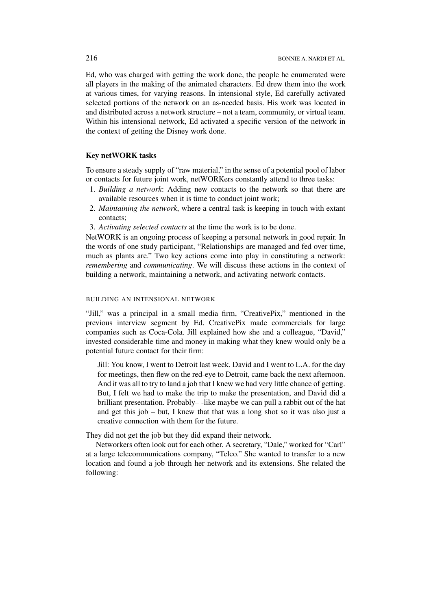Ed, who was charged with getting the work done, the people he enumerated were all players in the making of the animated characters. Ed drew them into the work at various times, for varying reasons. In intensional style, Ed carefully activated selected portions of the network on an as-needed basis. His work was located in and distributed across a network structure – not a team, community, or virtual team. Within his intensional network, Ed activated a specific version of the network in the context of getting the Disney work done.

# **Key netWORK tasks**

To ensure a steady supply of "raw material," in the sense of a potential pool of labor or contacts for future joint work, netWORKers constantly attend to three tasks:

- 1. *Building a network*: Adding new contacts to the network so that there are available resources when it is time to conduct joint work;
- 2. *Maintaining the network*, where a central task is keeping in touch with extant contacts;
- 3. *Activating selected contacts* at the time the work is to be done.

NetWORK is an ongoing process of keeping a personal network in good repair. In the words of one study participant, "Relationships are managed and fed over time, much as plants are." Two key actions come into play in constituting a network: *remembering* and *communicating*. We will discuss these actions in the context of building a network, maintaining a network, and activating network contacts.

# BUILDING AN INTENSIONAL NETWORK

"Jill," was a principal in a small media firm, "CreativePix," mentioned in the previous interview segment by Ed. CreativePix made commercials for large companies such as Coca-Cola. Jill explained how she and a colleague, "David," invested considerable time and money in making what they knew would only be a potential future contact for their firm:

Jill: You know, I went to Detroit last week. David and I went to L.A. for the day for meetings, then flew on the red-eye to Detroit, came back the next afternoon. And it was all to try to land a job that I knew we had very little chance of getting. But, I felt we had to make the trip to make the presentation, and David did a brilliant presentation. Probably– -like maybe we can pull a rabbit out of the hat and get this job – but, I knew that that was a long shot so it was also just a creative connection with them for the future.

They did not get the job but they did expand their network.

Networkers often look out for each other. A secretary, "Dale," worked for "Carl" at a large telecommunications company, "Telco." She wanted to transfer to a new location and found a job through her network and its extensions. She related the following: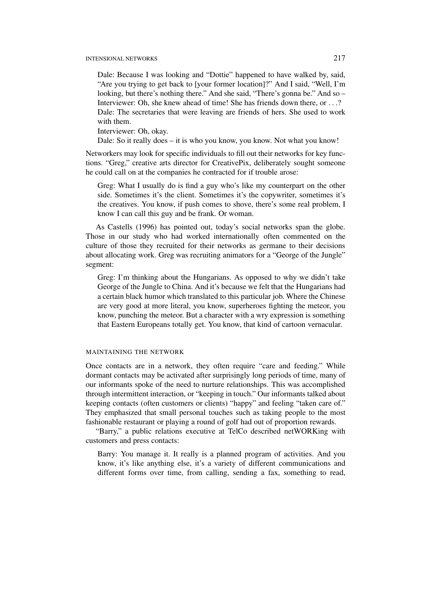Dale: Because I was looking and "Dottie" happened to have walked by, said, "Are you trying to get back to [your former location]?" And I said, "Well, I'm looking, but there's nothing there." And she said, "There's gonna be." And so – Interviewer: Oh, she knew ahead of time! She has friends down there, or *...*? Dale: The secretaries that were leaving are friends of hers. She used to work with them.

Interviewer: Oh, okay.

Dale: So it really does – it is who you know, you know. Not what you know!

Networkers may look for specific individuals to fill out their networks for key functions. "Greg," creative arts director for CreativePix, deliberately sought someone he could call on at the companies he contracted for if trouble arose:

Greg: What I usually do is find a guy who's like my counterpart on the other side. Sometimes it's the client. Sometimes it's the copywriter, sometimes it's the creatives. You know, if push comes to shove, there's some real problem, I know I can call this guy and be frank. Or woman.

As Castells (1996) has pointed out, today's social networks span the globe. Those in our study who had worked internationally often commented on the culture of those they recruited for their networks as germane to their decisions about allocating work. Greg was recruiting animators for a "George of the Jungle" segment:

Greg: I'm thinking about the Hungarians. As opposed to why we didn't take George of the Jungle to China. And it's because we felt that the Hungarians had a certain black humor which translated to this particular job. Where the Chinese are very good at more literal, you know, superheroes fighting the meteor, you know, punching the meteor. But a character with a wry expression is something that Eastern Europeans totally get. You know, that kind of cartoon vernacular.

# MAINTAINING THE NETWORK

Once contacts are in a network, they often require "care and feeding." While dormant contacts may be activated after surprisingly long periods of time, many of our informants spoke of the need to nurture relationships. This was accomplished through intermittent interaction, or "keeping in touch." Our informants talked about keeping contacts (often customers or clients) "happy" and feeling "taken care of." They emphasized that small personal touches such as taking people to the most fashionable restaurant or playing a round of golf had out of proportion rewards.

"Barry," a public relations executive at TelCo described netWORKing with customers and press contacts:

Barry: You manage it. It really is a planned program of activities. And you know, it's like anything else, it's a variety of different communications and different forms over time, from calling, sending a fax, something to read,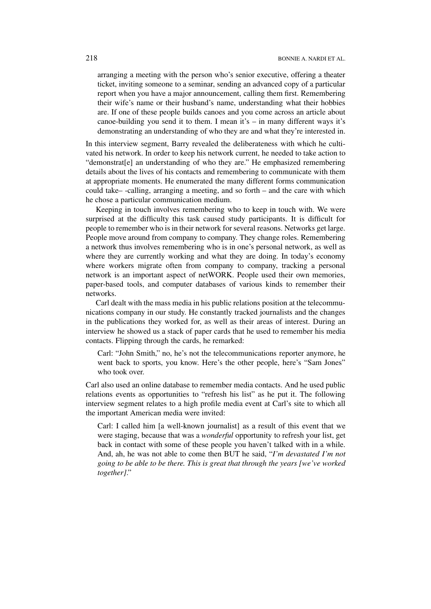arranging a meeting with the person who's senior executive, offering a theater ticket, inviting someone to a seminar, sending an advanced copy of a particular report when you have a major announcement, calling them first. Remembering their wife's name or their husband's name, understanding what their hobbies are. If one of these people builds canoes and you come across an article about canoe-building you send it to them. I mean it's – in many different ways it's demonstrating an understanding of who they are and what they're interested in.

In this interview segment, Barry revealed the deliberateness with which he cultivated his network. In order to keep his network current, he needed to take action to "demonstrat[e] an understanding of who they are." He emphasized remembering details about the lives of his contacts and remembering to communicate with them at appropriate moments. He enumerated the many different forms communication could take– -calling, arranging a meeting, and so forth – and the care with which he chose a particular communication medium.

Keeping in touch involves remembering who to keep in touch with. We were surprised at the difficulty this task caused study participants. It is difficult for people to remember who is in their network for several reasons. Networks get large. People move around from company to company. They change roles. Remembering a network thus involves remembering who is in one's personal network, as well as where they are currently working and what they are doing. In today's economy where workers migrate often from company to company, tracking a personal network is an important aspect of netWORK. People used their own memories, paper-based tools, and computer databases of various kinds to remember their networks.

Carl dealt with the mass media in his public relations position at the telecommunications company in our study. He constantly tracked journalists and the changes in the publications they worked for, as well as their areas of interest. During an interview he showed us a stack of paper cards that he used to remember his media contacts. Flipping through the cards, he remarked:

Carl: "John Smith," no, he's not the telecommunications reporter anymore, he went back to sports, you know. Here's the other people, here's "Sam Jones" who took over

Carl also used an online database to remember media contacts. And he used public relations events as opportunities to "refresh his list" as he put it. The following interview segment relates to a high profile media event at Carl's site to which all the important American media were invited:

Carl: I called him [a well-known journalist] as a result of this event that we were staging, because that was a *wonderful* opportunity to refresh your list, get back in contact with some of these people you haven't talked with in a while. And, ah, he was not able to come then BUT he said, "*I'm devastated I'm not going to be able to be there. This is great that through the years [we've worked together]*."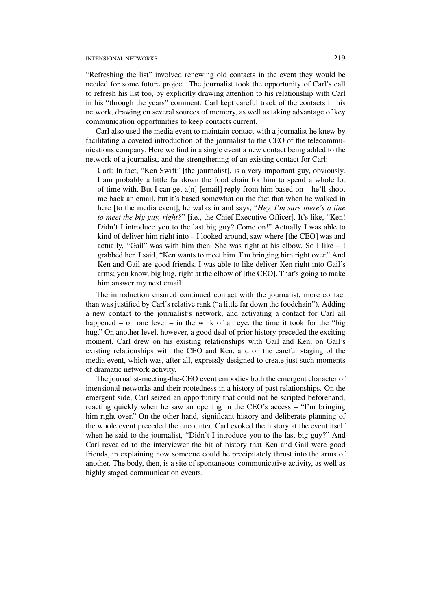"Refreshing the list" involved renewing old contacts in the event they would be needed for some future project. The journalist took the opportunity of Carl's call to refresh his list too, by explicitly drawing attention to his relationship with Carl in his "through the years" comment. Carl kept careful track of the contacts in his network, drawing on several sources of memory, as well as taking advantage of key communication opportunities to keep contacts current.

Carl also used the media event to maintain contact with a journalist he knew by facilitating a coveted introduction of the journalist to the CEO of the telecommunications company. Here we find in a single event a new contact being added to the network of a journalist, and the strengthening of an existing contact for Carl:

Carl: In fact, "Ken Swift" [the journalist], is a very important guy, obviously. I am probably a little far down the food chain for him to spend a whole lot of time with. But I can get a[n] [email] reply from him based on – he'll shoot me back an email, but it's based somewhat on the fact that when he walked in here [to the media event], he walks in and says, "*Hey, I'm sure there's a line to meet the big guy, right?*" [i.e., the Chief Executive Officer]. It's like, "Ken! Didn't I introduce you to the last big guy? Come on!" Actually I was able to kind of deliver him right into – I looked around, saw where [the CEO] was and actually, "Gail" was with him then. She was right at his elbow. So I like – I grabbed her. I said, "Ken wants to meet him. I'm bringing him right over." And Ken and Gail are good friends. I was able to like deliver Ken right into Gail's arms; you know, big hug, right at the elbow of [the CEO]. That's going to make him answer my next email.

The introduction ensured continued contact with the journalist, more contact than was justified by Carl's relative rank ("a little far down the foodchain"). Adding a new contact to the journalist's network, and activating a contact for Carl all happened – on one level – in the wink of an eye, the time it took for the "big" hug." On another level, however, a good deal of prior history preceded the exciting moment. Carl drew on his existing relationships with Gail and Ken, on Gail's existing relationships with the CEO and Ken, and on the careful staging of the media event, which was, after all, expressly designed to create just such moments of dramatic network activity.

The journalist-meeting-the-CEO event embodies both the emergent character of intensional networks and their rootedness in a history of past relationships. On the emergent side, Carl seized an opportunity that could not be scripted beforehand, reacting quickly when he saw an opening in the CEO's access – "I'm bringing him right over." On the other hand, significant history and deliberate planning of the whole event preceded the encounter. Carl evoked the history at the event itself when he said to the journalist, "Didn't I introduce you to the last big guy?" And Carl revealed to the interviewer the bit of history that Ken and Gail were good friends, in explaining how someone could be precipitately thrust into the arms of another. The body, then, is a site of spontaneous communicative activity, as well as highly staged communication events.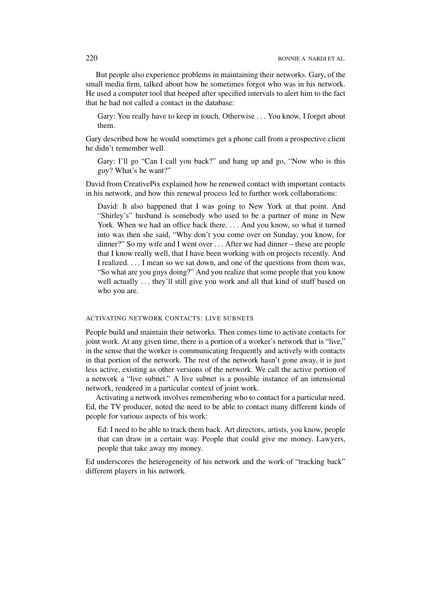But people also experience problems in maintaining their networks. Gary, of the small media firm, talked about how he sometimes forgot who was in his network. He used a computer tool that beeped after specified intervals to alert him to the fact that he had not called a contact in the database:

Gary: You really have to keep in touch. Otherwise *...* You know, I forget about them.

Gary described how he would sometimes get a phone call from a prospective client he didn't remember well.

Gary: I'll go "Can I call you back?" and hang up and go, "Now who is this guy? What's he want?"

David from CreativePix explained how he renewed contact with important contacts in his network, and how this renewal process led to further work collaborations:

David: It also happened that I was going to New York at that point. And "Shirley's" husband is somebody who used to be a partner of mine in New York. When we had an office back there. *...* And you know, so what it turned into was then she said, "Why don't you come over on Sunday, you know, for dinner?" So my wife and I went over *...* After we had dinner – these are people that I know really well, that I have been working with on projects recently. And I realized. *...* I mean so we sat down, and one of the questions from them was, "So what are you guys doing?" And you realize that some people that you know well actually *...* they'll still give you work and all that kind of stuff based on who you are.

#### ACTIVATING NETWORK CONTACTS: LIVE SUBNETS

People build and maintain their networks. Then comes time to activate contacts for joint work. At any given time, there is a portion of a worker's network that is "live," in the sense that the worker is communicating frequently and actively with contacts in that portion of the network. The rest of the network hasn't gone away, it is just less active, existing as other versions of the network. We call the active portion of a network a "live subnet." A live subnet is a possible instance of an intensional network, rendered in a particular context of joint work.

Activating a network involves remembering who to contact for a particular need. Ed, the TV producer, noted the need to be able to contact many different kinds of people for various aspects of his work:

Ed: I need to be able to track them back. Art directors, artists, you know, people that can draw in a certain way. People that could give me money. Lawyers, people that take away my money.

Ed underscores the heterogeneity of his network and the work of "tracking back" different players in his network.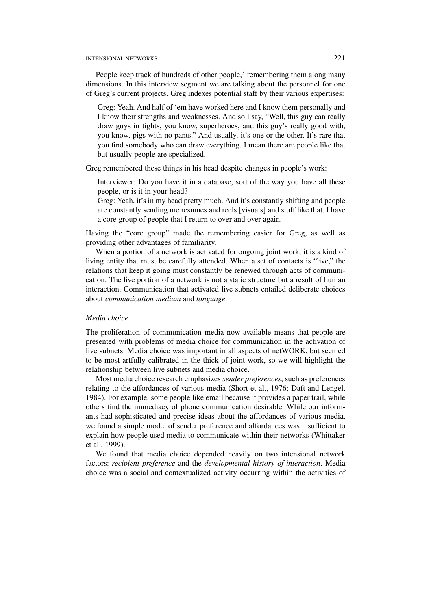People keep track of hundreds of other people, $3$  remembering them along many dimensions. In this interview segment we are talking about the personnel for one of Greg's current projects. Greg indexes potential staff by their various expertises:

Greg: Yeah. And half of 'em have worked here and I know them personally and I know their strengths and weaknesses. And so I say, "Well, this guy can really draw guys in tights, you know, superheroes, and this guy's really good with, you know, pigs with no pants." And usually, it's one or the other. It's rare that you find somebody who can draw everything. I mean there are people like that but usually people are specialized.

Greg remembered these things in his head despite changes in people's work:

Interviewer: Do you have it in a database, sort of the way you have all these people, or is it in your head?

Greg: Yeah, it's in my head pretty much. And it's constantly shifting and people are constantly sending me resumes and reels [visuals] and stuff like that. I have a core group of people that I return to over and over again.

Having the "core group" made the remembering easier for Greg, as well as providing other advantages of familiarity.

When a portion of a network is activated for ongoing joint work, it is a kind of living entity that must be carefully attended. When a set of contacts is "live," the relations that keep it going must constantly be renewed through acts of communication. The live portion of a network is not a static structure but a result of human interaction. Communication that activated live subnets entailed deliberate choices about *communication medium* and *language*.

#### *Media choice*

The proliferation of communication media now available means that people are presented with problems of media choice for communication in the activation of live subnets. Media choice was important in all aspects of netWORK, but seemed to be most artfully calibrated in the thick of joint work, so we will highlight the relationship between live subnets and media choice.

Most media choice research emphasizes *sender preferences*, such as preferences relating to the affordances of various media (Short et al., 1976; Daft and Lengel, 1984). For example, some people like email because it provides a paper trail, while others find the immediacy of phone communication desirable. While our informants had sophisticated and precise ideas about the affordances of various media, we found a simple model of sender preference and affordances was insufficient to explain how people used media to communicate within their networks (Whittaker et al., 1999).

We found that media choice depended heavily on two intensional network factors: *recipient preference* and the *developmental history of interaction*. Media choice was a social and contextualized activity occurring within the activities of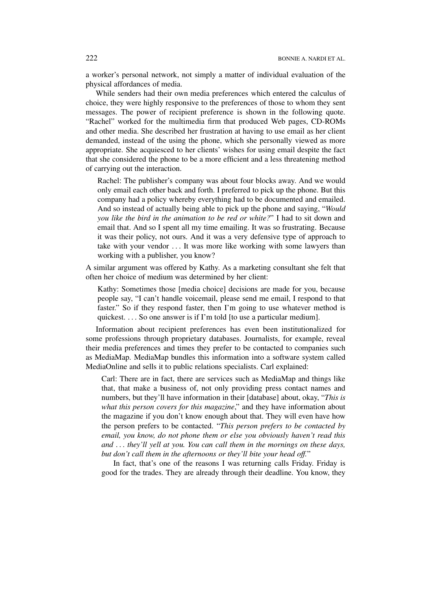a worker's personal network, not simply a matter of individual evaluation of the physical affordances of media.

While senders had their own media preferences which entered the calculus of choice, they were highly responsive to the preferences of those to whom they sent messages. The power of recipient preference is shown in the following quote. "Rachel" worked for the multimedia firm that produced Web pages, CD-ROMs and other media. She described her frustration at having to use email as her client demanded, instead of the using the phone, which she personally viewed as more appropriate. She acquiesced to her clients' wishes for using email despite the fact that she considered the phone to be a more efficient and a less threatening method of carrying out the interaction.

Rachel: The publisher's company was about four blocks away. And we would only email each other back and forth. I preferred to pick up the phone. But this company had a policy whereby everything had to be documented and emailed. And so instead of actually being able to pick up the phone and saying, "*Would you like the bird in the animation to be red or white?*" I had to sit down and email that. And so I spent all my time emailing. It was so frustrating. Because it was their policy, not ours. And it was a very defensive type of approach to take with your vendor *...* It was more like working with some lawyers than working with a publisher, you know?

A similar argument was offered by Kathy. As a marketing consultant she felt that often her choice of medium was determined by her client:

Kathy: Sometimes those [media choice] decisions are made for you, because people say, "I can't handle voicemail, please send me email, I respond to that faster." So if they respond faster, then I'm going to use whatever method is quickest. . . . So one answer is if I'm told [to use a particular medium].

Information about recipient preferences has even been institutionalized for some professions through proprietary databases. Journalists, for example, reveal their media preferences and times they prefer to be contacted to companies such as MediaMap. MediaMap bundles this information into a software system called MediaOnline and sells it to public relations specialists. Carl explained:

Carl: There are in fact, there are services such as MediaMap and things like that, that make a business of, not only providing press contact names and numbers, but they'll have information in their [database] about, okay, "*This is what this person covers for this magazine*," and they have information about the magazine if you don't know enough about that. They will even have how the person prefers to be contacted. "*This person prefers to be contacted by email, you know, do not phone them or else you obviously haven't read this and ... they'll yell at you. You can call them in the mornings on these days, but don't call them in the afternoons or they'll bite your head off.*"

In fact, that's one of the reasons I was returning calls Friday. Friday is good for the trades. They are already through their deadline. You know, they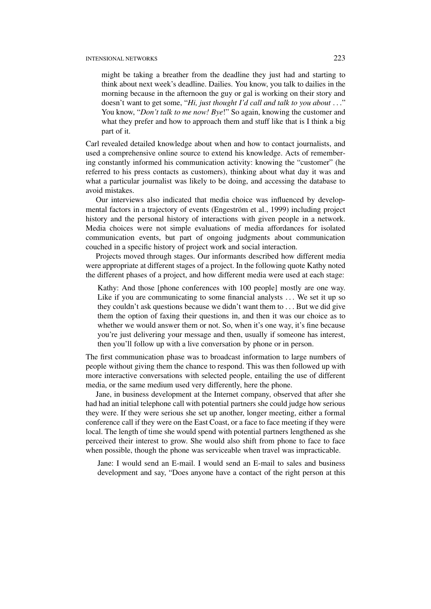might be taking a breather from the deadline they just had and starting to think about next week's deadline. Dailies. You know, you talk to dailies in the morning because in the afternoon the guy or gal is working on their story and doesn't want to get some, "*Hi, just thought I'd call and talk to you about ...*" You know, "*Don't talk to me now! Bye!*" So again, knowing the customer and what they prefer and how to approach them and stuff like that is I think a big part of it.

Carl revealed detailed knowledge about when and how to contact journalists, and used a comprehensive online source to extend his knowledge. Acts of remembering constantly informed his communication activity: knowing the "customer" (he referred to his press contacts as customers), thinking about what day it was and what a particular journalist was likely to be doing, and accessing the database to avoid mistakes.

Our interviews also indicated that media choice was influenced by developmental factors in a trajectory of events (Engeström et al., 1999) including project history and the personal history of interactions with given people in a network. Media choices were not simple evaluations of media affordances for isolated communication events, but part of ongoing judgments about communication couched in a specific history of project work and social interaction.

Projects moved through stages. Our informants described how different media were appropriate at different stages of a project. In the following quote Kathy noted the different phases of a project, and how different media were used at each stage:

Kathy: And those [phone conferences with 100 people] mostly are one way. Like if you are communicating to some financial analysts *...* We set it up so they couldn't ask questions because we didn't want them to *...* But we did give them the option of faxing their questions in, and then it was our choice as to whether we would answer them or not. So, when it's one way, it's fine because you're just delivering your message and then, usually if someone has interest, then you'll follow up with a live conversation by phone or in person.

The first communication phase was to broadcast information to large numbers of people without giving them the chance to respond. This was then followed up with more interactive conversations with selected people, entailing the use of different media, or the same medium used very differently, here the phone.

Jane, in business development at the Internet company, observed that after she had had an initial telephone call with potential partners she could judge how serious they were. If they were serious she set up another, longer meeting, either a formal conference call if they were on the East Coast, or a face to face meeting if they were local. The length of time she would spend with potential partners lengthened as she perceived their interest to grow. She would also shift from phone to face to face when possible, though the phone was serviceable when travel was impracticable.

Jane: I would send an E-mail. I would send an E-mail to sales and business development and say, "Does anyone have a contact of the right person at this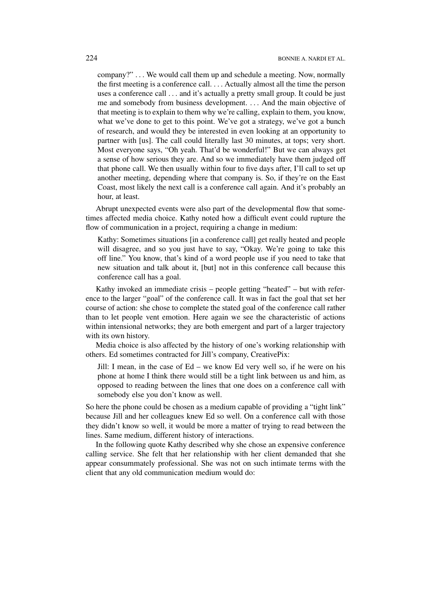company?" *...* We would call them up and schedule a meeting. Now, normally the first meeting is a conference call. *...* Actually almost all the time the person uses a conference call *...* and it's actually a pretty small group. It could be just me and somebody from business development. *...* And the main objective of that meeting is to explain to them why we're calling, explain to them, you know, what we've done to get to this point. We've got a strategy, we've got a bunch of research, and would they be interested in even looking at an opportunity to partner with [us]. The call could literally last 30 minutes, at tops; very short. Most everyone says, "Oh yeah. That'd be wonderful!" But we can always get a sense of how serious they are. And so we immediately have them judged off that phone call. We then usually within four to five days after, I'll call to set up another meeting, depending where that company is. So, if they're on the East Coast, most likely the next call is a conference call again. And it's probably an hour, at least.

Abrupt unexpected events were also part of the developmental flow that sometimes affected media choice. Kathy noted how a difficult event could rupture the flow of communication in a project, requiring a change in medium:

Kathy: Sometimes situations [in a conference call] get really heated and people will disagree, and so you just have to say, "Okay. We're going to take this off line." You know, that's kind of a word people use if you need to take that new situation and talk about it, [but] not in this conference call because this conference call has a goal.

Kathy invoked an immediate crisis – people getting "heated" – but with reference to the larger "goal" of the conference call. It was in fact the goal that set her course of action: she chose to complete the stated goal of the conference call rather than to let people vent emotion. Here again we see the characteristic of actions within intensional networks; they are both emergent and part of a larger trajectory with its own history.

Media choice is also affected by the history of one's working relationship with others. Ed sometimes contracted for Jill's company, CreativePix:

Jill: I mean, in the case of Ed – we know Ed very well so, if he were on his phone at home I think there would still be a tight link between us and him, as opposed to reading between the lines that one does on a conference call with somebody else you don't know as well.

So here the phone could be chosen as a medium capable of providing a "tight link" because Jill and her colleagues knew Ed so well. On a conference call with those they didn't know so well, it would be more a matter of trying to read between the lines. Same medium, different history of interactions.

In the following quote Kathy described why she chose an expensive conference calling service. She felt that her relationship with her client demanded that she appear consummately professional. She was not on such intimate terms with the client that any old communication medium would do: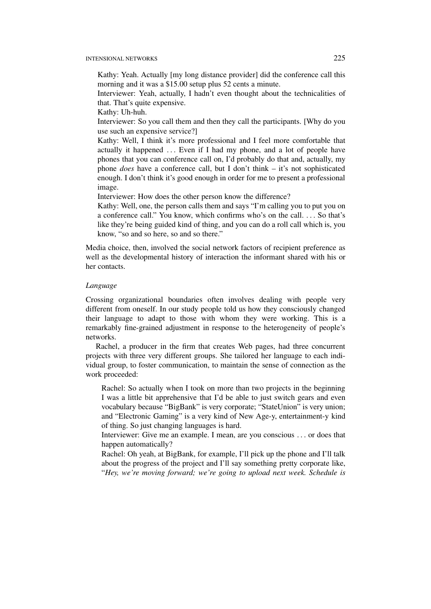Kathy: Yeah. Actually [my long distance provider] did the conference call this morning and it was a \$15.00 setup plus 52 cents a minute.

Interviewer: Yeah, actually, I hadn't even thought about the technicalities of that. That's quite expensive.

Kathy: Uh-huh.

Interviewer: So you call them and then they call the participants. [Why do you use such an expensive service?]

Kathy: Well, I think it's more professional and I feel more comfortable that actually it happened *...* Even if I had my phone, and a lot of people have phones that you can conference call on, I'd probably do that and, actually, my phone *does* have a conference call, but I don't think – it's not sophisticated enough. I don't think it's good enough in order for me to present a professional image.

Interviewer: How does the other person know the difference?

Kathy: Well, one, the person calls them and says "I'm calling you to put you on a conference call." You know, which confirms who's on the call. *...* So that's like they're being guided kind of thing, and you can do a roll call which is, you know, "so and so here, so and so there."

Media choice, then, involved the social network factors of recipient preference as well as the developmental history of interaction the informant shared with his or her contacts.

#### *Language*

Crossing organizational boundaries often involves dealing with people very different from oneself. In our study people told us how they consciously changed their language to adapt to those with whom they were working. This is a remarkably fine-grained adjustment in response to the heterogeneity of people's networks.

Rachel, a producer in the firm that creates Web pages, had three concurrent projects with three very different groups. She tailored her language to each individual group, to foster communication, to maintain the sense of connection as the work proceeded:

Rachel: So actually when I took on more than two projects in the beginning I was a little bit apprehensive that I'd be able to just switch gears and even vocabulary because "BigBank" is very corporate; "StateUnion" is very union; and "Electronic Gaming" is a very kind of New Age-y, entertainment-y kind of thing. So just changing languages is hard.

Interviewer: Give me an example. I mean, are you conscious *...* or does that happen automatically?

Rachel: Oh yeah, at BigBank, for example, I'll pick up the phone and I'll talk about the progress of the project and I'll say something pretty corporate like, "*Hey, we're moving forward; we're going to upload next week. Schedule is*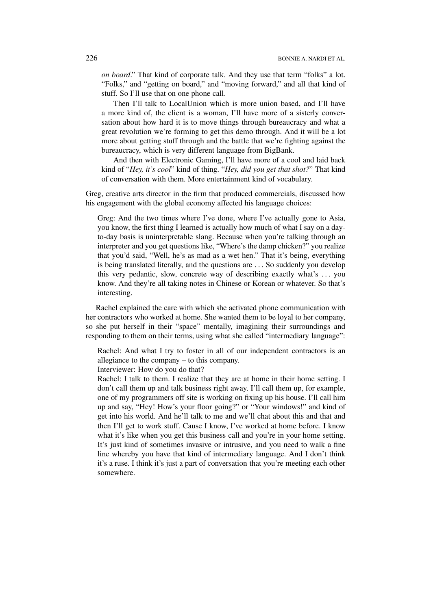*on board*." That kind of corporate talk. And they use that term "folks" a lot. "Folks," and "getting on board," and "moving forward," and all that kind of stuff. So I'll use that on one phone call.

Then I'll talk to LocalUnion which is more union based, and I'll have a more kind of, the client is a woman, I'll have more of a sisterly conversation about how hard it is to move things through bureaucracy and what a great revolution we're forming to get this demo through. And it will be a lot more about getting stuff through and the battle that we're fighting against the bureaucracy, which is very different language from BigBank.

And then with Electronic Gaming, I'll have more of a cool and laid back kind of "*Hey, it's cool*" kind of thing. "*Hey, did you get that shot?*" That kind of conversation with them. More entertainment kind of vocabulary.

Greg, creative arts director in the firm that produced commercials, discussed how his engagement with the global economy affected his language choices:

Greg: And the two times where I've done, where I've actually gone to Asia, you know, the first thing I learned is actually how much of what I say on a dayto-day basis is uninterpretable slang. Because when you're talking through an interpreter and you get questions like, "Where's the damp chicken?" you realize that you'd said, "Well, he's as mad as a wet hen." That it's being, everything is being translated literally, and the questions are *...* So suddenly you develop this very pedantic, slow, concrete way of describing exactly what's *...* you know. And they're all taking notes in Chinese or Korean or whatever. So that's interesting.

Rachel explained the care with which she activated phone communication with her contractors who worked at home. She wanted them to be loyal to her company, so she put herself in their "space" mentally, imagining their surroundings and responding to them on their terms, using what she called "intermediary language":

Rachel: And what I try to foster in all of our independent contractors is an allegiance to the company – to this company.

Interviewer: How do you do that?

Rachel: I talk to them. I realize that they are at home in their home setting. I don't call them up and talk business right away. I'll call them up, for example, one of my programmers off site is working on fixing up his house. I'll call him up and say, "Hey! How's your floor going?" or "Your windows!" and kind of get into his world. And he'll talk to me and we'll chat about this and that and then I'll get to work stuff. Cause I know, I've worked at home before. I know what it's like when you get this business call and you're in your home setting. It's just kind of sometimes invasive or intrusive, and you need to walk a fine line whereby you have that kind of intermediary language. And I don't think it's a ruse. I think it's just a part of conversation that you're meeting each other somewhere.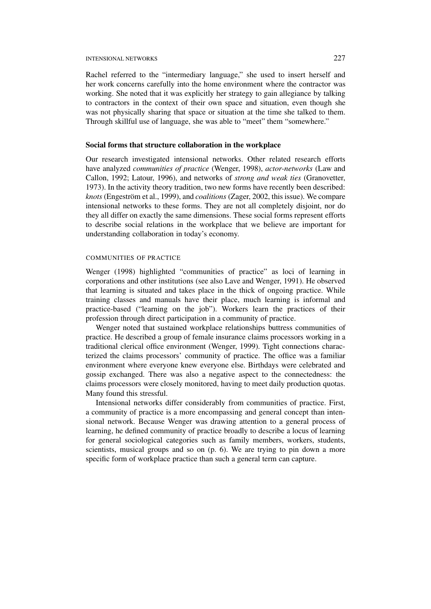Rachel referred to the "intermediary language," she used to insert herself and her work concerns carefully into the home environment where the contractor was working. She noted that it was explicitly her strategy to gain allegiance by talking to contractors in the context of their own space and situation, even though she was not physically sharing that space or situation at the time she talked to them. Through skillful use of language, she was able to "meet" them "somewhere."

### **Social forms that structure collaboration in the workplace**

Our research investigated intensional networks. Other related research efforts have analyzed *communities of practice* (Wenger, 1998), *actor-networks* (Law and Callon, 1992; Latour, 1996), and networks of *strong and weak ties* (Granovetter, 1973). In the activity theory tradition, two new forms have recently been described: *knots* (Engeström et al., 1999), and *coalitions* (Zager, 2002, this issue). We compare intensional networks to these forms. They are not all completely disjoint, nor do they all differ on exactly the same dimensions. These social forms represent efforts to describe social relations in the workplace that we believe are important for understanding collaboration in today's economy.

# COMMUNITIES OF PRACTICE

Wenger (1998) highlighted "communities of practice" as loci of learning in corporations and other institutions (see also Lave and Wenger, 1991). He observed that learning is situated and takes place in the thick of ongoing practice. While training classes and manuals have their place, much learning is informal and practice-based ("learning on the job"). Workers learn the practices of their profession through direct participation in a community of practice.

Wenger noted that sustained workplace relationships buttress communities of practice. He described a group of female insurance claims processors working in a traditional clerical office environment (Wenger, 1999). Tight connections characterized the claims processors' community of practice. The office was a familiar environment where everyone knew everyone else. Birthdays were celebrated and gossip exchanged. There was also a negative aspect to the connectedness: the claims processors were closely monitored, having to meet daily production quotas. Many found this stressful.

Intensional networks differ considerably from communities of practice. First, a community of practice is a more encompassing and general concept than intensional network. Because Wenger was drawing attention to a general process of learning, he defined community of practice broadly to describe a locus of learning for general sociological categories such as family members, workers, students, scientists, musical groups and so on  $(p, 6)$ . We are trying to pin down a more specific form of workplace practice than such a general term can capture.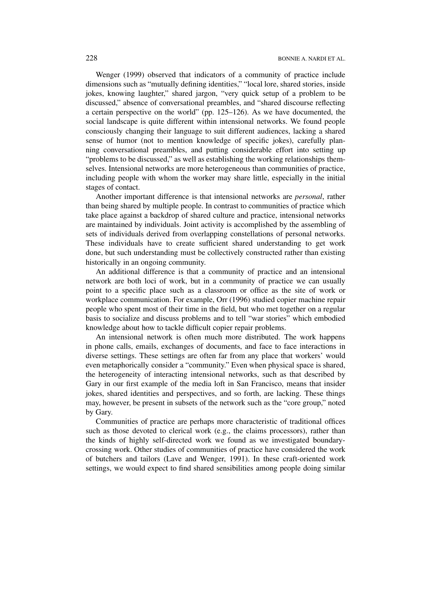Wenger (1999) observed that indicators of a community of practice include dimensions such as "mutually defining identities," "local lore, shared stories, inside jokes, knowing laughter," shared jargon, "very quick setup of a problem to be discussed," absence of conversational preambles, and "shared discourse reflecting a certain perspective on the world" (pp. 125–126). As we have documented, the social landscape is quite different within intensional networks. We found people consciously changing their language to suit different audiences, lacking a shared sense of humor (not to mention knowledge of specific jokes), carefully planning conversational preambles, and putting considerable effort into setting up "problems to be discussed," as well as establishing the working relationships themselves. Intensional networks are more heterogeneous than communities of practice, including people with whom the worker may share little, especially in the initial stages of contact.

Another important difference is that intensional networks are *personal*, rather than being shared by multiple people. In contrast to communities of practice which take place against a backdrop of shared culture and practice, intensional networks are maintained by individuals. Joint activity is accomplished by the assembling of sets of individuals derived from overlapping constellations of personal networks. These individuals have to create sufficient shared understanding to get work done, but such understanding must be collectively constructed rather than existing historically in an ongoing community.

An additional difference is that a community of practice and an intensional network are both loci of work, but in a community of practice we can usually point to a specific place such as a classroom or office as the site of work or workplace communication. For example, Orr (1996) studied copier machine repair people who spent most of their time in the field, but who met together on a regular basis to socialize and discuss problems and to tell "war stories" which embodied knowledge about how to tackle difficult copier repair problems.

An intensional network is often much more distributed. The work happens in phone calls, emails, exchanges of documents, and face to face interactions in diverse settings. These settings are often far from any place that workers' would even metaphorically consider a "community." Even when physical space is shared, the heterogeneity of interacting intensional networks, such as that described by Gary in our first example of the media loft in San Francisco, means that insider jokes, shared identities and perspectives, and so forth, are lacking. These things may, however, be present in subsets of the network such as the "core group," noted by Gary.

Communities of practice are perhaps more characteristic of traditional offices such as those devoted to clerical work (e.g., the claims processors), rather than the kinds of highly self-directed work we found as we investigated boundarycrossing work. Other studies of communities of practice have considered the work of butchers and tailors (Lave and Wenger, 1991). In these craft-oriented work settings, we would expect to find shared sensibilities among people doing similar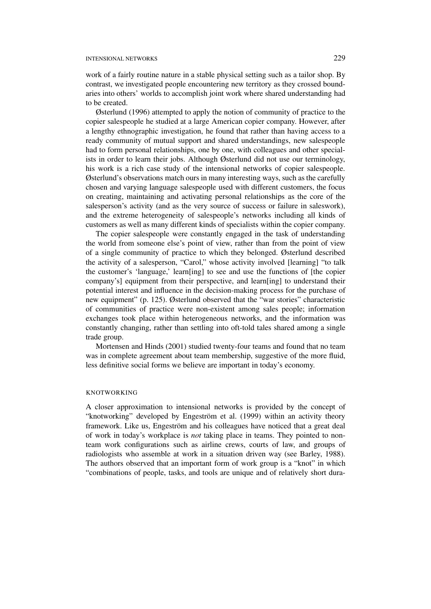work of a fairly routine nature in a stable physical setting such as a tailor shop. By contrast, we investigated people encountering new territory as they crossed boundaries into others' worlds to accomplish joint work where shared understanding had to be created.

Østerlund (1996) attempted to apply the notion of community of practice to the copier salespeople he studied at a large American copier company. However, after a lengthy ethnographic investigation, he found that rather than having access to a ready community of mutual support and shared understandings, new salespeople had to form personal relationships, one by one, with colleagues and other specialists in order to learn their jobs. Although Østerlund did not use our terminology, his work is a rich case study of the intensional networks of copier salespeople. Østerlund's observations match ours in many interesting ways, such as the carefully chosen and varying language salespeople used with different customers, the focus on creating, maintaining and activating personal relationships as the core of the salesperson's activity (and as the very source of success or failure in saleswork), and the extreme heterogeneity of salespeople's networks including all kinds of customers as well as many different kinds of specialists within the copier company.

The copier salespeople were constantly engaged in the task of understanding the world from someone else's point of view, rather than from the point of view of a single community of practice to which they belonged. Østerlund described the activity of a salesperson, "Carol," whose activity involved [learning] "to talk the customer's 'language,' learn[ing] to see and use the functions of [the copier company's] equipment from their perspective, and learn[ing] to understand their potential interest and influence in the decision-making process for the purchase of new equipment" (p. 125). Østerlund observed that the "war stories" characteristic of communities of practice were non-existent among sales people; information exchanges took place within heterogeneous networks, and the information was constantly changing, rather than settling into oft-told tales shared among a single trade group.

Mortensen and Hinds (2001) studied twenty-four teams and found that no team was in complete agreement about team membership, suggestive of the more fluid, less definitive social forms we believe are important in today's economy.

### KNOTWORKING

A closer approximation to intensional networks is provided by the concept of "knotworking" developed by Engeström et al. (1999) within an activity theory framework. Like us, Engeström and his colleagues have noticed that a great deal of work in today's workplace is *not* taking place in teams. They pointed to nonteam work configurations such as airline crews, courts of law, and groups of radiologists who assemble at work in a situation driven way (see Barley, 1988). The authors observed that an important form of work group is a "knot" in which "combinations of people, tasks, and tools are unique and of relatively short dura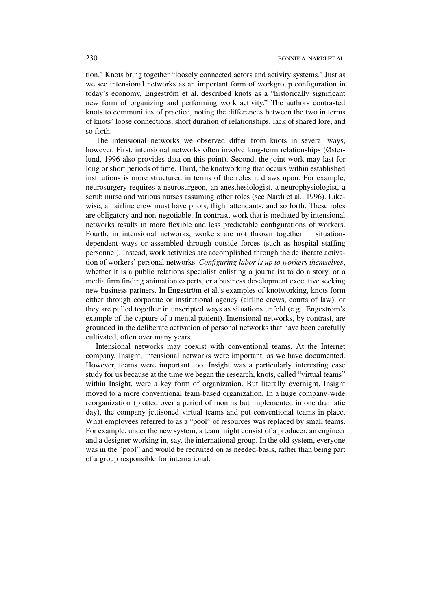tion." Knots bring together "loosely connected actors and activity systems." Just as we see intensional networks as an important form of workgroup configuration in today's economy, Engeström et al. described knots as a "historically significant new form of organizing and performing work activity." The authors contrasted knots to communities of practice, noting the differences between the two in terms of knots' loose connections, short duration of relationships, lack of shared lore, and so forth.

The intensional networks we observed differ from knots in several ways, however. First, intensional networks often involve long-term relationships (Østerlund, 1996 also provides data on this point). Second, the joint work may last for long or short periods of time. Third, the knotworking that occurs within established institutions is more structured in terms of the roles it draws upon. For example, neurosurgery requires a neurosurgeon, an anesthesiologist, a neurophysiologist, a scrub nurse and various nurses assuming other roles (see Nardi et al., 1996). Likewise, an airline crew must have pilots, flight attendants, and so forth. These roles are obligatory and non-negotiable. In contrast, work that is mediated by intensional networks results in more flexible and less predictable configurations of workers. Fourth, in intensional networks, workers are not thrown together in situationdependent ways or assembled through outside forces (such as hospital staffing personnel). Instead, work activities are accomplished through the deliberate activation of workers' personal networks. *Configuring labor is up to workers themselves*, whether it is a public relations specialist enlisting a journalist to do a story, or a media firm finding animation experts, or a business development executive seeking new business partners. In Engeström et al.'s examples of knotworking, knots form either through corporate or institutional agency (airline crews, courts of law), or they are pulled together in unscripted ways as situations unfold (e.g., Engeström's example of the capture of a mental patient). Intensional networks, by contrast, are grounded in the deliberate activation of personal networks that have been carefully cultivated, often over many years.

Intensional networks may coexist with conventional teams. At the Internet company, Insight, intensional networks were important, as we have documented. However, teams were important too. Insight was a particularly interesting case study for us because at the time we began the research, knots, called "virtual teams" within Insight, were a key form of organization. But literally overnight, Insight moved to a more conventional team-based organization. In a huge company-wide reorganization (plotted over a period of months but implemented in one dramatic day), the company jettisoned virtual teams and put conventional teams in place. What employees referred to as a "pool" of resources was replaced by small teams. For example, under the new system, a team might consist of a producer, an engineer and a designer working in, say, the international group. In the old system, everyone was in the "pool" and would be recruited on as needed-basis, rather than being part of a group responsible for international.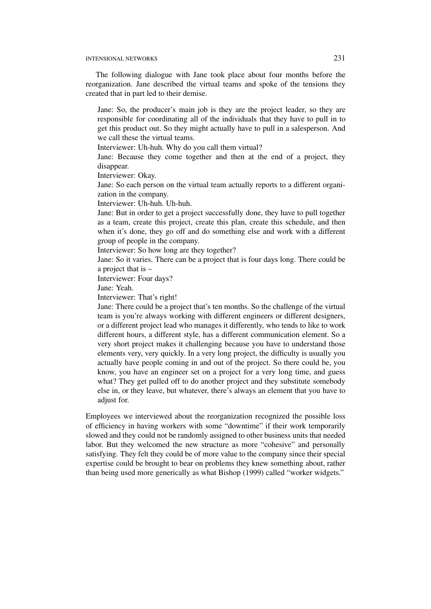The following dialogue with Jane took place about four months before the reorganization. Jane described the virtual teams and spoke of the tensions they created that in part led to their demise.

Jane: So, the producer's main job is they are the project leader, so they are responsible for coordinating all of the individuals that they have to pull in to get this product out. So they might actually have to pull in a salesperson. And we call these the virtual teams.

Interviewer: Uh-huh. Why do you call them virtual?

Jane: Because they come together and then at the end of a project, they disappear.

Interviewer: Okay.

Jane: So each person on the virtual team actually reports to a different organization in the company.

Interviewer: Uh-huh. Uh-huh.

Jane: But in order to get a project successfully done, they have to pull together as a team, create this project, create this plan, create this schedule, and then when it's done, they go off and do something else and work with a different group of people in the company.

Interviewer: So how long are they together?

Jane: So it varies. There can be a project that is four days long. There could be a project that is –

Interviewer: Four days?

Jane: Yeah.

Interviewer: That's right!

Jane: There could be a project that's ten months. So the challenge of the virtual team is you're always working with different engineers or different designers, or a different project lead who manages it differently, who tends to like to work different hours, a different style, has a different communication element. So a very short project makes it challenging because you have to understand those elements very, very quickly. In a very long project, the difficulty is usually you actually have people coming in and out of the project. So there could be, you know, you have an engineer set on a project for a very long time, and guess what? They get pulled off to do another project and they substitute somebody else in, or they leave, but whatever, there's always an element that you have to adjust for.

Employees we interviewed about the reorganization recognized the possible loss of efficiency in having workers with some "downtime" if their work temporarily slowed and they could not be randomly assigned to other business units that needed labor. But they welcomed the new structure as more "cohesive" and personally satisfying. They felt they could be of more value to the company since their special expertise could be brought to bear on problems they knew something about, rather than being used more generically as what Bishop (1999) called "worker widgets."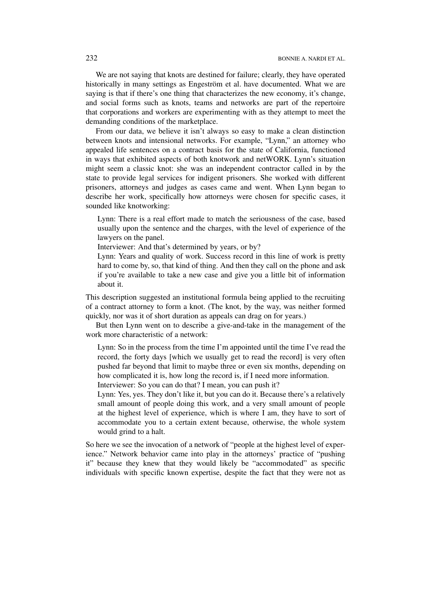We are not saying that knots are destined for failure; clearly, they have operated historically in many settings as Engeström et al. have documented. What we are saying is that if there's one thing that characterizes the new economy, it's change, and social forms such as knots, teams and networks are part of the repertoire that corporations and workers are experimenting with as they attempt to meet the demanding conditions of the marketplace.

From our data, we believe it isn't always so easy to make a clean distinction between knots and intensional networks. For example, "Lynn," an attorney who appealed life sentences on a contract basis for the state of California, functioned in ways that exhibited aspects of both knotwork and netWORK. Lynn's situation might seem a classic knot: she was an independent contractor called in by the state to provide legal services for indigent prisoners. She worked with different prisoners, attorneys and judges as cases came and went. When Lynn began to describe her work, specifically how attorneys were chosen for specific cases, it sounded like knotworking:

Lynn: There is a real effort made to match the seriousness of the case, based usually upon the sentence and the charges, with the level of experience of the lawyers on the panel.

Interviewer: And that's determined by years, or by?

Lynn: Years and quality of work. Success record in this line of work is pretty hard to come by, so, that kind of thing. And then they call on the phone and ask if you're available to take a new case and give you a little bit of information about it.

This description suggested an institutional formula being applied to the recruiting of a contract attorney to form a knot. (The knot, by the way, was neither formed quickly, nor was it of short duration as appeals can drag on for years.)

But then Lynn went on to describe a give-and-take in the management of the work more characteristic of a network:

Lynn: So in the process from the time I'm appointed until the time I've read the record, the forty days [which we usually get to read the record] is very often pushed far beyond that limit to maybe three or even six months, depending on how complicated it is, how long the record is, if I need more information.

Interviewer: So you can do that? I mean, you can push it?

Lynn: Yes, yes. They don't like it, but you can do it. Because there's a relatively small amount of people doing this work, and a very small amount of people at the highest level of experience, which is where I am, they have to sort of accommodate you to a certain extent because, otherwise, the whole system would grind to a halt.

So here we see the invocation of a network of "people at the highest level of experience." Network behavior came into play in the attorneys' practice of "pushing it" because they knew that they would likely be "accommodated" as specific individuals with specific known expertise, despite the fact that they were not as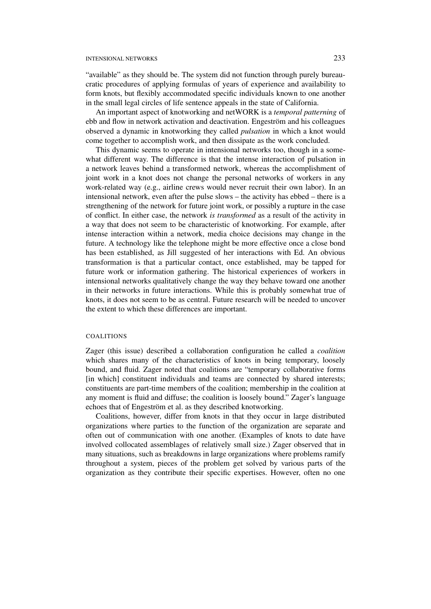"available" as they should be. The system did not function through purely bureaucratic procedures of applying formulas of years of experience and availability to form knots, but flexibly accommodated specific individuals known to one another in the small legal circles of life sentence appeals in the state of California.

An important aspect of knotworking and netWORK is a *temporal patterning* of ebb and flow in network activation and deactivation. Engeström and his colleagues observed a dynamic in knotworking they called *pulsation* in which a knot would come together to accomplish work, and then dissipate as the work concluded.

This dynamic seems to operate in intensional networks too, though in a somewhat different way. The difference is that the intense interaction of pulsation in a network leaves behind a transformed network, whereas the accomplishment of joint work in a knot does not change the personal networks of workers in any work-related way (e.g., airline crews would never recruit their own labor). In an intensional network, even after the pulse slows – the activity has ebbed – there is a strengthening of the network for future joint work, or possibly a rupture in the case of conflict. In either case, the network *is transformed* as a result of the activity in a way that does not seem to be characteristic of knotworking. For example, after intense interaction within a network, media choice decisions may change in the future. A technology like the telephone might be more effective once a close bond has been established, as Jill suggested of her interactions with Ed. An obvious transformation is that a particular contact, once established, may be tapped for future work or information gathering. The historical experiences of workers in intensional networks qualitatively change the way they behave toward one another in their networks in future interactions. While this is probably somewhat true of knots, it does not seem to be as central. Future research will be needed to uncover the extent to which these differences are important.

# COALITIONS

Zager (this issue) described a collaboration configuration he called a *coalition* which shares many of the characteristics of knots in being temporary, loosely bound, and fluid. Zager noted that coalitions are "temporary collaborative forms [in which] constituent individuals and teams are connected by shared interests; constituents are part-time members of the coalition; membership in the coalition at any moment is fluid and diffuse; the coalition is loosely bound." Zager's language echoes that of Engeström et al. as they described knotworking.

Coalitions, however, differ from knots in that they occur in large distributed organizations where parties to the function of the organization are separate and often out of communication with one another. (Examples of knots to date have involved collocated assemblages of relatively small size.) Zager observed that in many situations, such as breakdowns in large organizations where problems ramify throughout a system, pieces of the problem get solved by various parts of the organization as they contribute their specific expertises. However, often no one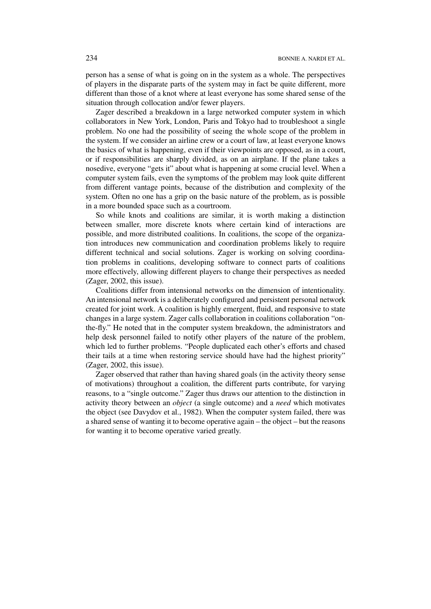person has a sense of what is going on in the system as a whole. The perspectives of players in the disparate parts of the system may in fact be quite different, more different than those of a knot where at least everyone has some shared sense of the situation through collocation and/or fewer players.

Zager described a breakdown in a large networked computer system in which collaborators in New York, London, Paris and Tokyo had to troubleshoot a single problem. No one had the possibility of seeing the whole scope of the problem in the system. If we consider an airline crew or a court of law, at least everyone knows the basics of what is happening, even if their viewpoints are opposed, as in a court, or if responsibilities are sharply divided, as on an airplane. If the plane takes a nosedive, everyone "gets it" about what is happening at some crucial level. When a computer system fails, even the symptoms of the problem may look quite different from different vantage points, because of the distribution and complexity of the system. Often no one has a grip on the basic nature of the problem, as is possible in a more bounded space such as a courtroom.

So while knots and coalitions are similar, it is worth making a distinction between smaller, more discrete knots where certain kind of interactions are possible, and more distributed coalitions. In coalitions, the scope of the organization introduces new communication and coordination problems likely to require different technical and social solutions. Zager is working on solving coordination problems in coalitions, developing software to connect parts of coalitions more effectively, allowing different players to change their perspectives as needed (Zager, 2002, this issue).

Coalitions differ from intensional networks on the dimension of intentionality. An intensional network is a deliberately configured and persistent personal network created for joint work. A coalition is highly emergent, fluid, and responsive to state changes in a large system. Zager calls collaboration in coalitions collaboration "onthe-fly." He noted that in the computer system breakdown, the administrators and help desk personnel failed to notify other players of the nature of the problem, which led to further problems. "People duplicated each other's efforts and chased their tails at a time when restoring service should have had the highest priority" (Zager, 2002, this issue).

Zager observed that rather than having shared goals (in the activity theory sense of motivations) throughout a coalition, the different parts contribute, for varying reasons, to a "single outcome." Zager thus draws our attention to the distinction in activity theory between an *object* (a single outcome) and a *need* which motivates the object (see Davydov et al., 1982). When the computer system failed, there was a shared sense of wanting it to become operative again – the object – but the reasons for wanting it to become operative varied greatly.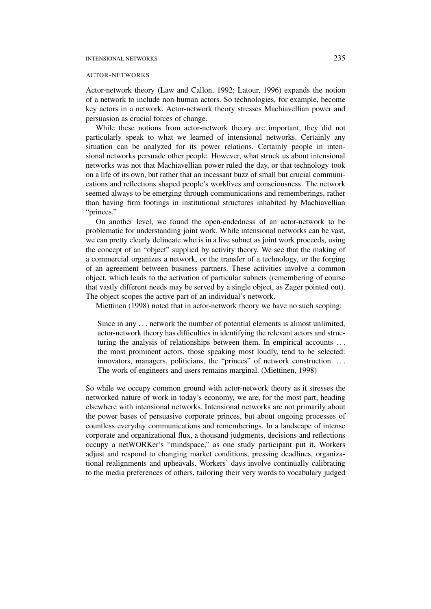#### ACTOR-NETWORKS

Actor-network theory (Law and Callon, 1992; Latour, 1996) expands the notion of a network to include non-human actors. So technologies, for example, become key actors in a network. Actor-network theory stresses Machiavellian power and persuasion as crucial forces of change.

While these notions from actor-network theory are important, they did not particularly speak to what we learned of intensional networks. Certainly any situation can be analyzed for its power relations. Certainly people in intensional networks persuade other people. However, what struck us about intensional networks was not that Machiavellian power ruled the day, or that technology took on a life of its own, but rather that an incessant buzz of small but crucial communications and reflections shaped people's worklives and consciousness. The network seemed always to be emerging through communications and rememberings, rather than having firm footings in institutional structures inhabited by Machiavellian "princes."

On another level, we found the open-endedness of an actor-network to be problematic for understanding joint work. While intensional networks can be vast, we can pretty clearly delineate who is in a live subnet as joint work proceeds, using the concept of an "object" supplied by activity theory. We see that the making of a commercial organizes a network, or the transfer of a technology, or the forging of an agreement between business partners. These activities involve a common object, which leads to the activation of particular subnets (remembering of course that vastly different needs may be served by a single object, as Zager pointed out). The object scopes the active part of an individual's network.

Miettinen (1998) noted that in actor-network theory we have no such scoping:

Since in any *...* network the number of potential elements is almost unlimited, actor-network theory has difficulties in identifying the relevant actors and structuring the analysis of relationships between them. In empirical accounts *...* the most prominent actors, those speaking most loudly, tend to be selected: innovators, managers, politicians, the "princes" of network construction. *...* The work of engineers and users remains marginal. (Miettinen, 1998)

So while we occupy common ground with actor-network theory as it stresses the networked nature of work in today's economy, we are, for the most part, heading elsewhere with intensional networks. Intensional networks are not primarily about the power bases of persuasive corporate princes, but about ongoing processes of countless everyday communications and rememberings. In a landscape of intense corporate and organizational flux, a thousand judgments, decisions and reflections occupy a netWORKer's "mindspace," as one study participant put it. Workers adjust and respond to changing market conditions, pressing deadlines, organizational realignments and upheavals. Workers' days involve continually calibrating to the media preferences of others, tailoring their very words to vocabulary judged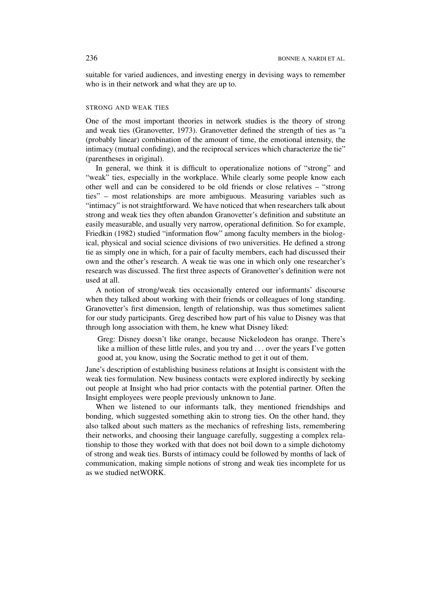suitable for varied audiences, and investing energy in devising ways to remember who is in their network and what they are up to.

#### STRONG AND WEAK TIES

One of the most important theories in network studies is the theory of strong and weak ties (Granovetter, 1973). Granovetter defined the strength of ties as "a (probably linear) combination of the amount of time, the emotional intensity, the intimacy (mutual confiding), and the reciprocal services which characterize the tie" (parentheses in original).

In general, we think it is difficult to operationalize notions of "strong" and "weak" ties, especially in the workplace. While clearly some people know each other well and can be considered to be old friends or close relatives – "strong ties" – most relationships are more ambiguous. Measuring variables such as "intimacy" is not straightforward. We have noticed that when researchers talk about strong and weak ties they often abandon Granovetter's definition and substitute an easily measurable, and usually very narrow, operational definition. So for example, Friedkin (1982) studied "information flow" among faculty members in the biological, physical and social science divisions of two universities. He defined a strong tie as simply one in which, for a pair of faculty members, each had discussed their own and the other's research. A weak tie was one in which only one researcher's research was discussed. The first three aspects of Granovetter's definition were not used at all.

A notion of strong/weak ties occasionally entered our informants' discourse when they talked about working with their friends or colleagues of long standing. Granovetter's first dimension, length of relationship, was thus sometimes salient for our study participants. Greg described how part of his value to Disney was that through long association with them, he knew what Disney liked:

Greg: Disney doesn't like orange, because Nickelodeon has orange. There's like a million of these little rules, and you try and *...* over the years I've gotten good at, you know, using the Socratic method to get it out of them.

Jane's description of establishing business relations at Insight is consistent with the weak ties formulation. New business contacts were explored indirectly by seeking out people at Insight who had prior contacts with the potential partner. Often the Insight employees were people previously unknown to Jane.

When we listened to our informants talk, they mentioned friendships and bonding, which suggested something akin to strong ties. On the other hand, they also talked about such matters as the mechanics of refreshing lists, remembering their networks, and choosing their language carefully, suggesting a complex relationship to those they worked with that does not boil down to a simple dichotomy of strong and weak ties. Bursts of intimacy could be followed by months of lack of communication, making simple notions of strong and weak ties incomplete for us as we studied netWORK.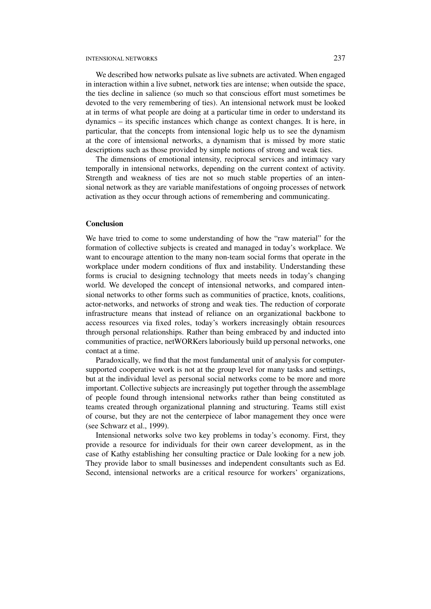We described how networks pulsate as live subnets are activated. When engaged in interaction within a live subnet, network ties are intense; when outside the space, the ties decline in salience (so much so that conscious effort must sometimes be devoted to the very remembering of ties). An intensional network must be looked at in terms of what people are doing at a particular time in order to understand its dynamics – its specific instances which change as context changes. It is here, in particular, that the concepts from intensional logic help us to see the dynamism at the core of intensional networks, a dynamism that is missed by more static descriptions such as those provided by simple notions of strong and weak ties.

The dimensions of emotional intensity, reciprocal services and intimacy vary temporally in intensional networks, depending on the current context of activity. Strength and weakness of ties are not so much stable properties of an intensional network as they are variable manifestations of ongoing processes of network activation as they occur through actions of remembering and communicating.

#### **Conclusion**

We have tried to come to some understanding of how the "raw material" for the formation of collective subjects is created and managed in today's workplace. We want to encourage attention to the many non-team social forms that operate in the workplace under modern conditions of flux and instability. Understanding these forms is crucial to designing technology that meets needs in today's changing world. We developed the concept of intensional networks, and compared intensional networks to other forms such as communities of practice, knots, coalitions, actor-networks, and networks of strong and weak ties. The reduction of corporate infrastructure means that instead of reliance on an organizational backbone to access resources via fixed roles, today's workers increasingly obtain resources through personal relationships. Rather than being embraced by and inducted into communities of practice, netWORKers laboriously build up personal networks, one contact at a time.

Paradoxically, we find that the most fundamental unit of analysis for computersupported cooperative work is not at the group level for many tasks and settings, but at the individual level as personal social networks come to be more and more important. Collective subjects are increasingly put together through the assemblage of people found through intensional networks rather than being constituted as teams created through organizational planning and structuring. Teams still exist of course, but they are not the centerpiece of labor management they once were (see Schwarz et al., 1999).

Intensional networks solve two key problems in today's economy. First, they provide a resource for individuals for their own career development, as in the case of Kathy establishing her consulting practice or Dale looking for a new job. They provide labor to small businesses and independent consultants such as Ed. Second, intensional networks are a critical resource for workers' organizations,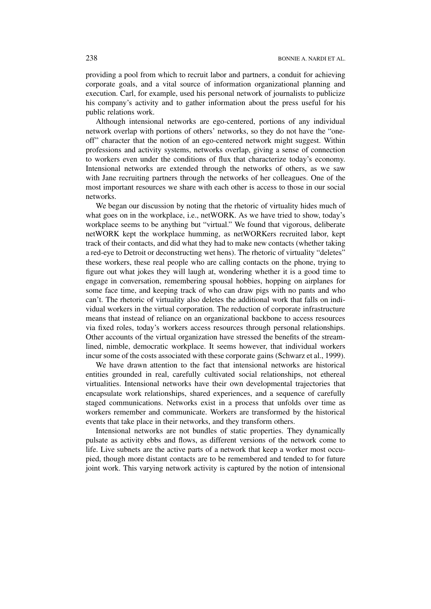providing a pool from which to recruit labor and partners, a conduit for achieving corporate goals, and a vital source of information organizational planning and execution. Carl, for example, used his personal network of journalists to publicize his company's activity and to gather information about the press useful for his public relations work.

Although intensional networks are ego-centered, portions of any individual network overlap with portions of others' networks, so they do not have the "oneoff" character that the notion of an ego-centered network might suggest. Within professions and activity systems, networks overlap, giving a sense of connection to workers even under the conditions of flux that characterize today's economy. Intensional networks are extended through the networks of others, as we saw with Jane recruiting partners through the networks of her colleagues. One of the most important resources we share with each other is access to those in our social networks.

We began our discussion by noting that the rhetoric of virtuality hides much of what goes on in the workplace, i.e., netWORK. As we have tried to show, today's workplace seems to be anything but "virtual." We found that vigorous, deliberate netWORK kept the workplace humming, as netWORKers recruited labor, kept track of their contacts, and did what they had to make new contacts (whether taking a red-eye to Detroit or deconstructing wet hens). The rhetoric of virtuality "deletes" these workers, these real people who are calling contacts on the phone, trying to figure out what jokes they will laugh at, wondering whether it is a good time to engage in conversation, remembering spousal hobbies, hopping on airplanes for some face time, and keeping track of who can draw pigs with no pants and who can't. The rhetoric of virtuality also deletes the additional work that falls on individual workers in the virtual corporation. The reduction of corporate infrastructure means that instead of reliance on an organizational backbone to access resources via fixed roles, today's workers access resources through personal relationships. Other accounts of the virtual organization have stressed the benefits of the streamlined, nimble, democratic workplace. It seems however, that individual workers incur some of the costs associated with these corporate gains (Schwarz et al., 1999).

We have drawn attention to the fact that intensional networks are historical entities grounded in real, carefully cultivated social relationships, not ethereal virtualities. Intensional networks have their own developmental trajectories that encapsulate work relationships, shared experiences, and a sequence of carefully staged communications. Networks exist in a process that unfolds over time as workers remember and communicate. Workers are transformed by the historical events that take place in their networks, and they transform others.

Intensional networks are not bundles of static properties. They dynamically pulsate as activity ebbs and flows, as different versions of the network come to life. Live subnets are the active parts of a network that keep a worker most occupied, though more distant contacts are to be remembered and tended to for future joint work. This varying network activity is captured by the notion of intensional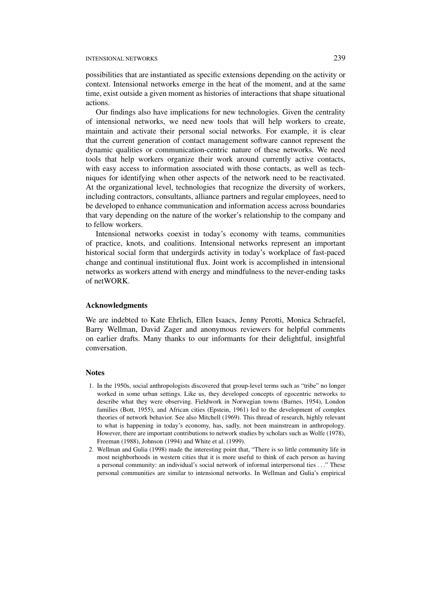possibilities that are instantiated as specific extensions depending on the activity or context. Intensional networks emerge in the heat of the moment, and at the same time, exist outside a given moment as histories of interactions that shape situational actions.

Our findings also have implications for new technologies. Given the centrality of intensional networks, we need new tools that will help workers to create, maintain and activate their personal social networks. For example, it is clear that the current generation of contact management software cannot represent the dynamic qualities or communication-centric nature of these networks. We need tools that help workers organize their work around currently active contacts, with easy access to information associated with those contacts, as well as techniques for identifying when other aspects of the network need to be reactivated. At the organizational level, technologies that recognize the diversity of workers, including contractors, consultants, alliance partners and regular employees, need to be developed to enhance communication and information access across boundaries that vary depending on the nature of the worker's relationship to the company and to fellow workers.

Intensional networks coexist in today's economy with teams, communities of practice, knots, and coalitions. Intensional networks represent an important historical social form that undergirds activity in today's workplace of fast-paced change and continual institutional flux. Joint work is accomplished in intensional networks as workers attend with energy and mindfulness to the never-ending tasks of netWORK.

# **Acknowledgments**

We are indebted to Kate Ehrlich, Ellen Isaacs, Jenny Perotti, Monica Schraefel, Barry Wellman, David Zager and anonymous reviewers for helpful comments on earlier drafts. Many thanks to our informants for their delightful, insightful conversation.

#### **Notes**

- 1. In the 1950s, social anthropologists discovered that group-level terms such as "tribe" no longer worked in some urban settings. Like us, they developed concepts of egocentric networks to describe what they were observing. Fieldwork in Norwegian towns (Barnes, 1954), London families (Bott, 1955), and African cities (Epstein, 1961) led to the development of complex theories of network behavior. See also Mitchell (1969). This thread of research, highly relevant to what is happening in today's economy, has, sadly, not been mainstream in anthropology. However, there are important contributions to network studies by scholars such as Wolfe (1978), Freeman (1988), Johnson (1994) and White et al. (1999).
- 2. Wellman and Gulia (1998) made the interesting point that, "There is so little community life in most neighborhoods in western cities that it is more useful to think of each person as having a personal community: an individual's social network of informal interpersonal ties *...*" These personal communities are similar to intensional networks. In Wellman and Gulia's empirical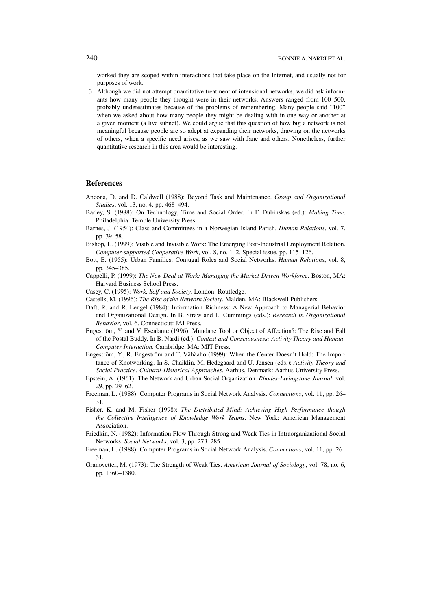worked they are scoped within interactions that take place on the Internet, and usually not for purposes of work.

3. Although we did not attempt quantitative treatment of intensional networks, we did ask informants how many people they thought were in their networks. Answers ranged from 100–500, probably underestimates because of the problems of remembering. Many people said "100" when we asked about how many people they might be dealing with in one way or another at a given moment (a live subnet). We could argue that this question of how big a network is not meaningful because people are so adept at expanding their networks, drawing on the networks of others, when a specific need arises, as we saw with Jane and others. Nonetheless, further quantitative research in this area would be interesting.

#### **References**

- Ancona, D. and D. Caldwell (1988): Beyond Task and Maintenance. *Group and Organizational Studies*, vol. 13, no. 4, pp. 468–494.
- Barley, S. (1988): On Technology, Time and Social Order. In F. Dubinskas (ed.): *Making Time*. Philadelphia: Temple University Press.
- Barnes, J. (1954): Class and Committees in a Norwegian Island Parish. *Human Relations*, vol. 7, pp. 39–58.
- Bishop, L. (1999): Visible and Invisible Work: The Emerging Post-Industrial Employment Relation. *Computer-supported Cooperative Work*, vol. 8, no. 1–2. Special issue, pp. 115–126.
- Bott, E. (1955): Urban Families: Conjugal Roles and Social Networks. *Human Relations*, vol. 8, pp. 345–385.
- Cappelli, P. (1999): *The New Deal at Work: Managing the Market-Driven Workforce*. Boston, MA: Harvard Business School Press.
- Casey, C. (1995): *Work, Self and Society*. London: Routledge.
- Castells, M. (1996): *The Rise of the Network Society*. Malden, MA: Blackwell Publishers.
- Daft, R. and R. Lengel (1984): Information Richness: A New Approach to Managerial Behavior and Organizational Design. In B. Straw and L. Cummings (eds.): *Research in Organizational Behavior*, vol. 6. Connecticut: JAI Press.
- Engeström, Y. and V. Escalante (1996): Mundane Tool or Object of Affection?: The Rise and Fall of the Postal Buddy. In B. Nardi (ed.): *Context and Consciousness: Activity Theory and Human-Computer Interaction*. Cambridge, MA: MIT Press.
- Engeström, Y., R. Engeström and T. Vähäaho (1999): When the Center Doesn't Hold: The Importance of Knotworking. In S. Chaiklin, M. Hedegaard and U. Jensen (eds.): *Activity Theory and Social Practice: Cultural-Historical Approaches*. Aarhus, Denmark: Aarhus University Press.
- Epstein, A. (1961): The Network and Urban Social Organization. *Rhodes-Livingstone Journal*, vol. 29, pp. 29–62.
- Freeman, L. (1988): Computer Programs in Social Network Analysis. *Connections*, vol. 11, pp. 26– 31.
- Fisher, K. and M. Fisher (1998): *The Distributed Mind: Achieving High Performance though the Collective Intelligence of Knowledge Work Teams*. New York: American Management Association.
- Friedkin, N. (1982): Information Flow Through Strong and Weak Ties in Intraorganizational Social Networks. *Social Networks*, vol. 3, pp. 273–285.
- Freeman, L. (1988): Computer Programs in Social Network Analysis. *Connections*, vol. 11, pp. 26– 31.
- Granovetter, M. (1973): The Strength of Weak Ties. *American Journal of Sociology*, vol. 78, no. 6, pp. 1360–1380.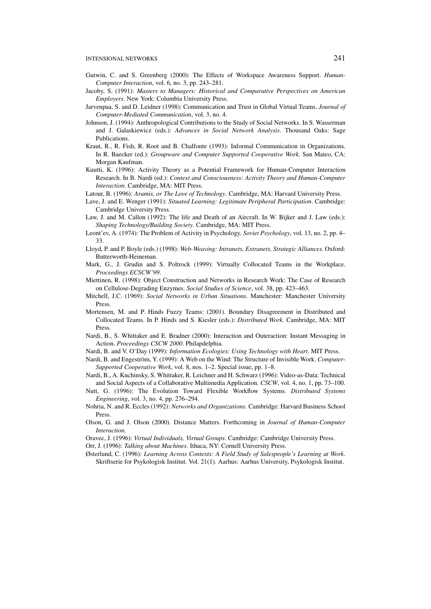- Gutwin, C. and S. Greenberg (2000): The Effects of Workspace Awareness Support. *Human-Computer Interaction*, vol. 6, no. 3, pp. 243–281.
- Jacoby, S. (1991): *Masters to Managers: Historical and Comparative Perspectives on American Employers*. New York: Columbia University Press.
- Jarvenpaa, S. and D. Leidner (1998): Communication and Trust in Global Virtual Teams. *Journal of Computer-Mediated Communication*, vol. 3, no. 4.
- Johnson, J. (1994): Anthropological Contributions to the Study of Social Networks. In S. Wasserman and J. Galaskiewicz (eds.): *Advances in Social Network Analysis*. Thousand Oaks: Sage Publications.
- Kraut, R., R. Fish, R. Root and B. Chalfonte (1993): Informal Communication in Organizations. In R. Baecker (ed.): *Groupware and Computer Supported Cooperative Work*. San Mateo, CA: Morgan Kaufman.
- Kuutti, K. (1996): Activity Theory as a Potential Framework for Human-Computer Interaction Research. In B. Nardi (ed.): *Context and Consciousness: Activity Theory and Human-Computer Interaction*. Cambridge, MA: MIT Press.
- Latour, B. (1996): *Aramis, or The Love of Technology*. Cambridge, MA: Harvard University Press.
- Lave, J. and E. Wenger (1991): *Situated Learning: Legitimate Peripheral Participation*. Cambridge: Cambridge University Press.
- Law, J. and M. Callon (1992): The life and Death of an Aircraft. In W. Bijker and J. Law (eds.): *Shaping Technology/Building Society*. Cambridge, MA: MIT Press.
- Leont'ev, A. (1974): The Problem of Activity in Psychology. *Soviet Psychology*, vol. 13, no. 2, pp. 4– 33.
- Lloyd, P. and P. Boyle (eds.) (1998): *Web-Weaving: Intranets, Extranets, Strategic Alliances*. Oxford: Butterworth-Heineman.
- Mark, G., J. Grudin and S. Poltrock (1999): Virtually Collocated Teams in the Workplace. *Proceedings ECSCW'99*.
- Miettinen, R. (1998): Object Construction and Networks in Research Work: The Case of Research on Cellulose-Degrading Enzymes. *Social Studies of Science*, vol. 38, pp. 423–463.
- Mitchell, J.C. (1969): *Social Networks in Urban Situations*. Manchester: Manchester University Press.
- Mortensen, M. and P. Hinds Fuzzy Teams: (2001). Boundary Disagreement in Distributed and Collocated Teams. In P. Hinds and S. Kiesler (eds.): *Distributed Work*. Cambridge, MA: MIT Press.
- Nardi, B., S. Whittaker and E. Bradner (2000): Interaction and Outeraction: Instant Messaging in Action. *Proceedings CSCW 2000*. Philapdelphia.
- Nardi, B. and V. O'Day (1999): *Information Ecologies: Using Technology with Heart*. MIT Press.
- Nardi, B. and Engeström, Y. (1999): A Web on the Wind: The Structure of Invisible Work. *Computer-Supported Cooperative Work*, vol. 8, nos. 1–2. Special issue, pp. 1–8.
- Nardi, B., A. Kuchinsky, S. Whittaker, R. Leichner and H. Schwarz (1996): Video-as-Data: Technical and Social Aspects of a Collaborative Multimedia Application. *CSCW*, vol. 4, no. 1, pp. 73–100.
- Nutt, G. (1996): The Evolution Toward Flexible Workflow Systems. *Distributed Systems Engineering*, vol. 3, no. 4, pp. 276–294.
- Nohria, N. and R. Eccles (1992): *Networks and Organizations*. Cambridge: Harvard Business School Press.
- Olson, G. and J. Olson (2000). Distance Matters. Forthcoming in *Journal of Human-Computer Interaction*.

Oravec, J. (1996): *Virtual Individuals, Virtual Groups*. Cambridge: Cambridge University Press. Orr, J. (1996): *Talking about Machines*. Ithaca, NY: Cornell University Press.

Østerlund, C. (1996): *Learning Across Contexts: A Field Study of Salespeople's Learning at Work*. Skriftserie for Psykologisk Institut. Vol. 21(1). Aarhus: Aarhus University, Psykologisk Institut.